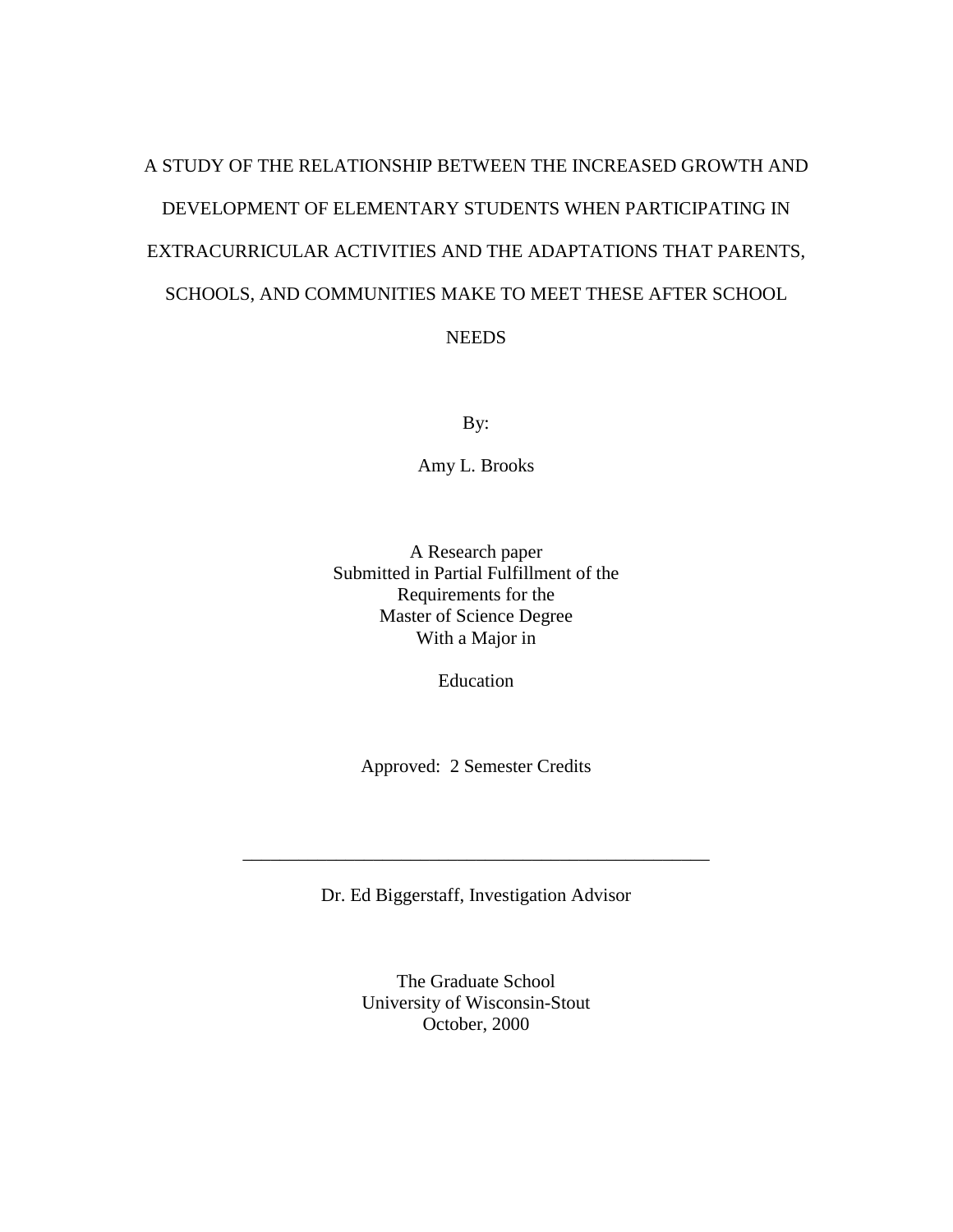# A STUDY OF THE RELATIONSHIP BETWEEN THE INCREASED GROWTH AND DEVELOPMENT OF ELEMENTARY STUDENTS WHEN PARTICIPATING IN EXTRACURRICULAR ACTIVITIES AND THE ADAPTATIONS THAT PARENTS, SCHOOLS, AND COMMUNITIES MAKE TO MEET THESE AFTER SCHOOL **NEEDS**

By:

Amy L. Brooks

A Research paper Submitted in Partial Fulfillment of the Requirements for the Master of Science Degree With a Major in

Education

Approved: 2 Semester Credits

Dr. Ed Biggerstaff, Investigation Advisor

\_\_\_\_\_\_\_\_\_\_\_\_\_\_\_\_\_\_\_\_\_\_\_\_\_\_\_\_\_\_\_\_\_\_\_\_\_\_\_\_\_\_\_\_\_\_\_\_\_\_

The Graduate School University of Wisconsin-Stout October, 2000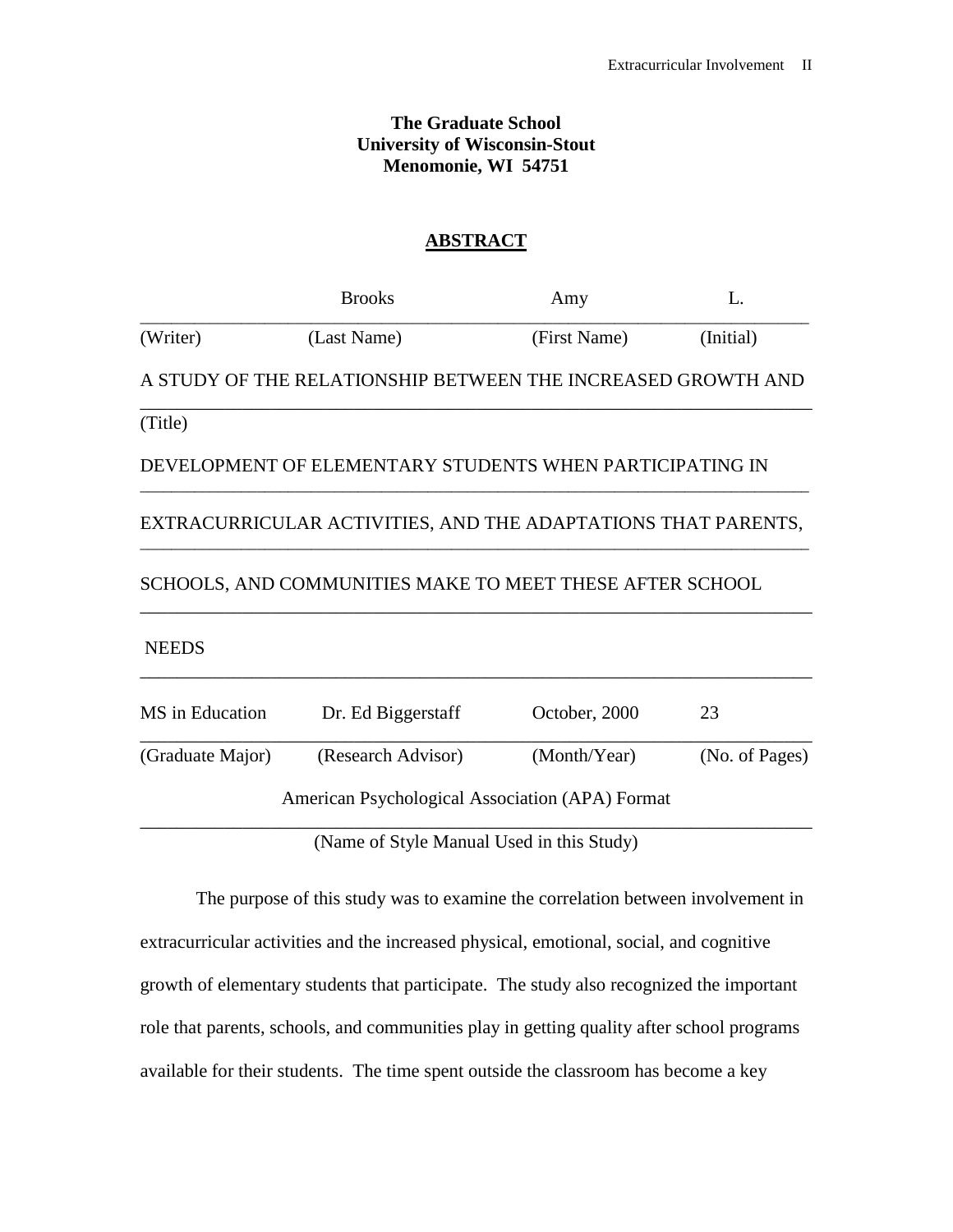# **The Graduate School University of Wisconsin-Stout Menomonie, WI 54751**

# **ABSTRACT**

|                  | <b>Brooks</b>                                                 | Amy           | $\mathbf{L}$   |
|------------------|---------------------------------------------------------------|---------------|----------------|
| (Writer)         | (Last Name)                                                   | (First Name)  | (Initial)      |
|                  | A STUDY OF THE RELATIONSHIP BETWEEN THE INCREASED GROWTH AND  |               |                |
| (Title)          |                                                               |               |                |
|                  | DEVELOPMENT OF ELEMENTARY STUDENTS WHEN PARTICIPATING IN      |               |                |
|                  | EXTRACURRICULAR ACTIVITIES, AND THE ADAPTATIONS THAT PARENTS, |               |                |
|                  | SCHOOLS, AND COMMUNITIES MAKE TO MEET THESE AFTER SCHOOL      |               |                |
| <b>NEEDS</b>     |                                                               |               |                |
| MS in Education  | Dr. Ed Biggerstaff                                            | October, 2000 | 23             |
| (Graduate Major) | (Research Advisor)                                            | (Month/Year)  | (No. of Pages) |
|                  | American Psychological Association (APA) Format               |               |                |
|                  | (Name of Style Manual Used in this Study)                     |               |                |

The purpose of this study was to examine the correlation between involvement in extracurricular activities and the increased physical, emotional, social, and cognitive growth of elementary students that participate. The study also recognized the important role that parents, schools, and communities play in getting quality after school programs available for their students. The time spent outside the classroom has become a key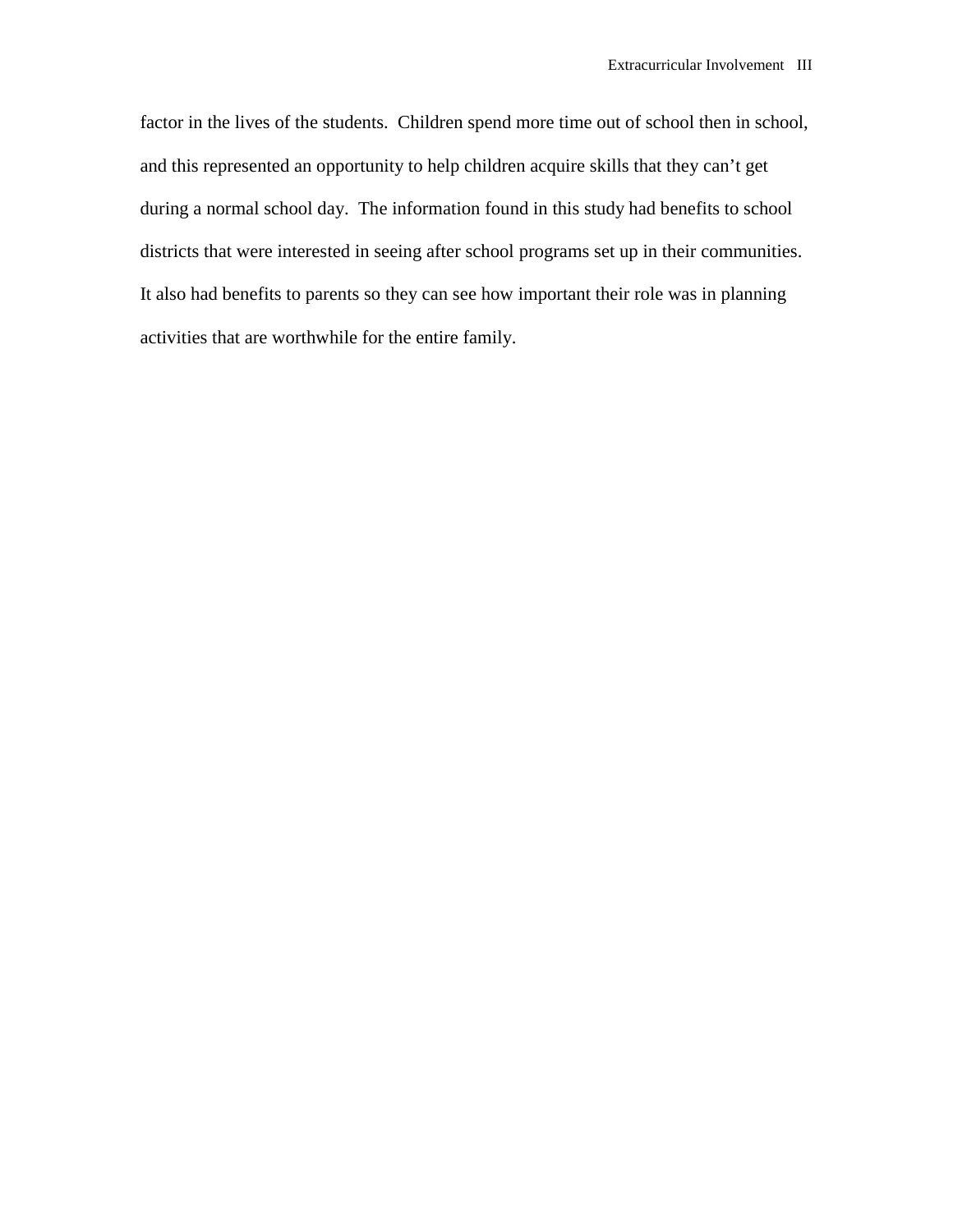factor in the lives of the students. Children spend more time out of school then in school, and this represented an opportunity to help children acquire skills that they can't get during a normal school day. The information found in this study had benefits to school districts that were interested in seeing after school programs set up in their communities. It also had benefits to parents so they can see how important their role was in planning activities that are worthwhile for the entire family.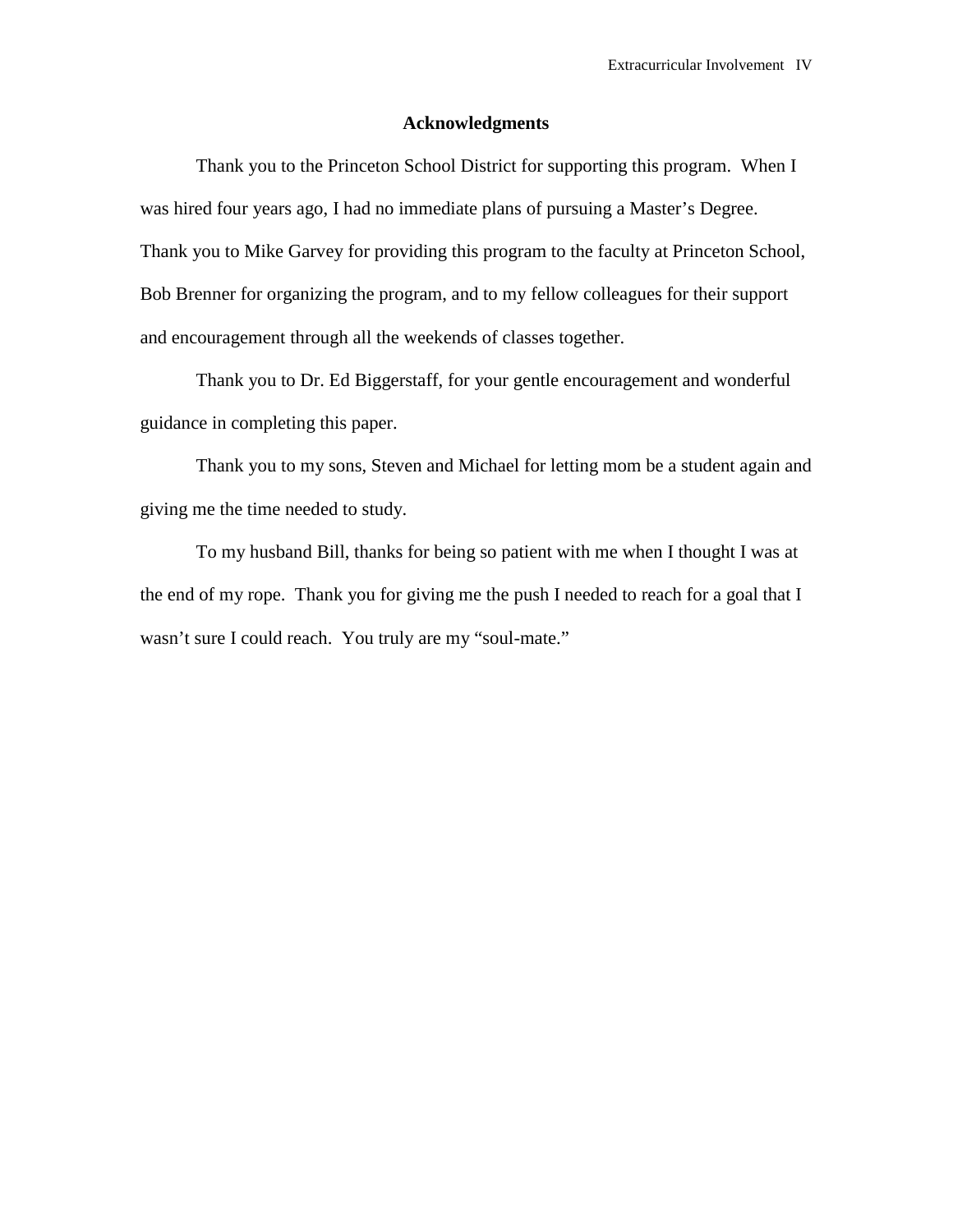# **Acknowledgments**

Thank you to the Princeton School District for supporting this program. When I was hired four years ago, I had no immediate plans of pursuing a Master's Degree. Thank you to Mike Garvey for providing this program to the faculty at Princeton School, Bob Brenner for organizing the program, and to my fellow colleagues for their support and encouragement through all the weekends of classes together.

 Thank you to Dr. Ed Biggerstaff, for your gentle encouragement and wonderful guidance in completing this paper.

 Thank you to my sons, Steven and Michael for letting mom be a student again and giving me the time needed to study.

 To my husband Bill, thanks for being so patient with me when I thought I was at the end of my rope. Thank you for giving me the push I needed to reach for a goal that I wasn't sure I could reach. You truly are my "soul-mate."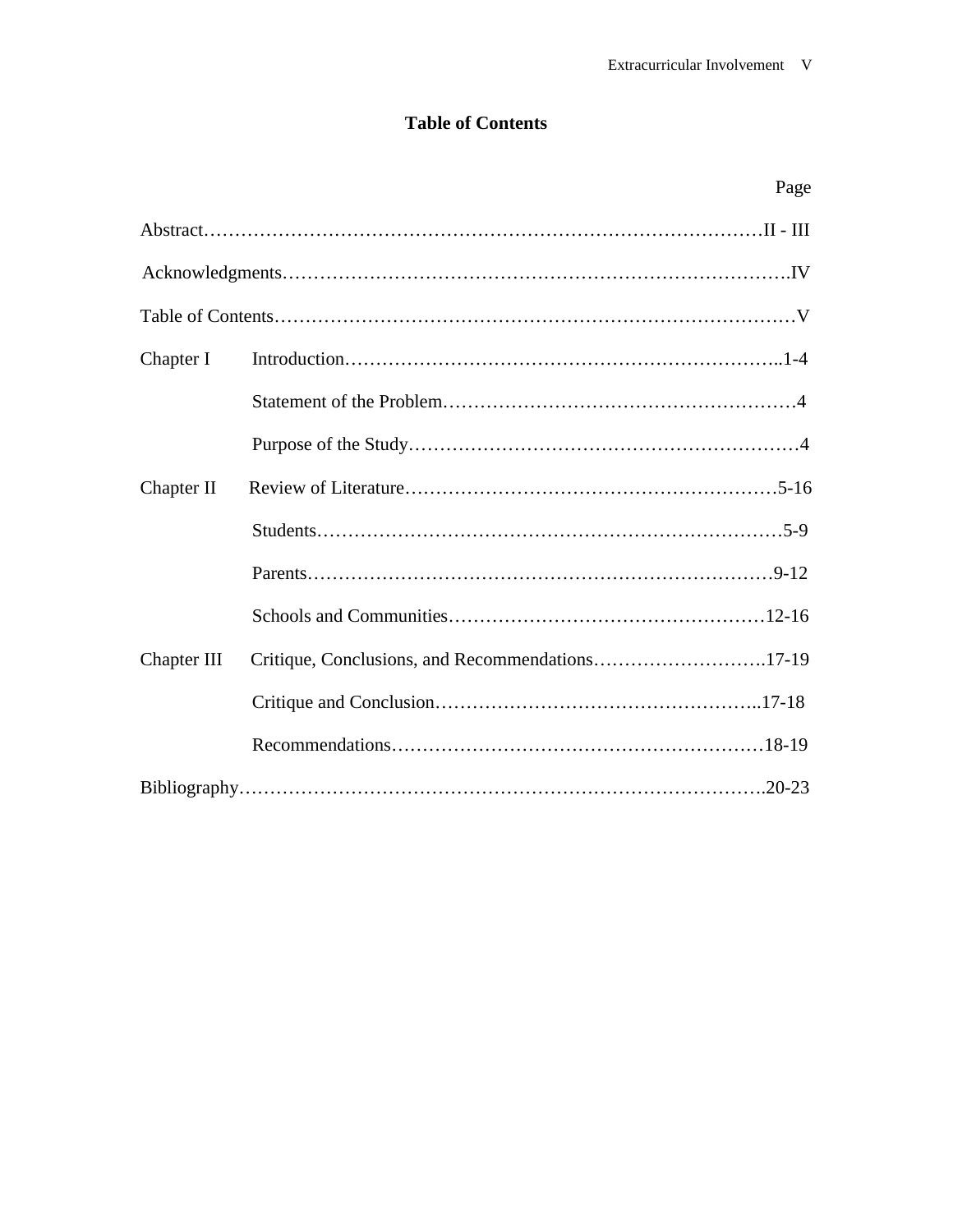# **Table of Contents**

|             | Page                                            |
|-------------|-------------------------------------------------|
|             |                                                 |
|             |                                                 |
|             |                                                 |
| Chapter I   |                                                 |
|             |                                                 |
|             |                                                 |
| Chapter II  |                                                 |
|             |                                                 |
|             |                                                 |
|             |                                                 |
| Chapter III | Critique, Conclusions, and Recommendations17-19 |
|             |                                                 |
|             |                                                 |
|             |                                                 |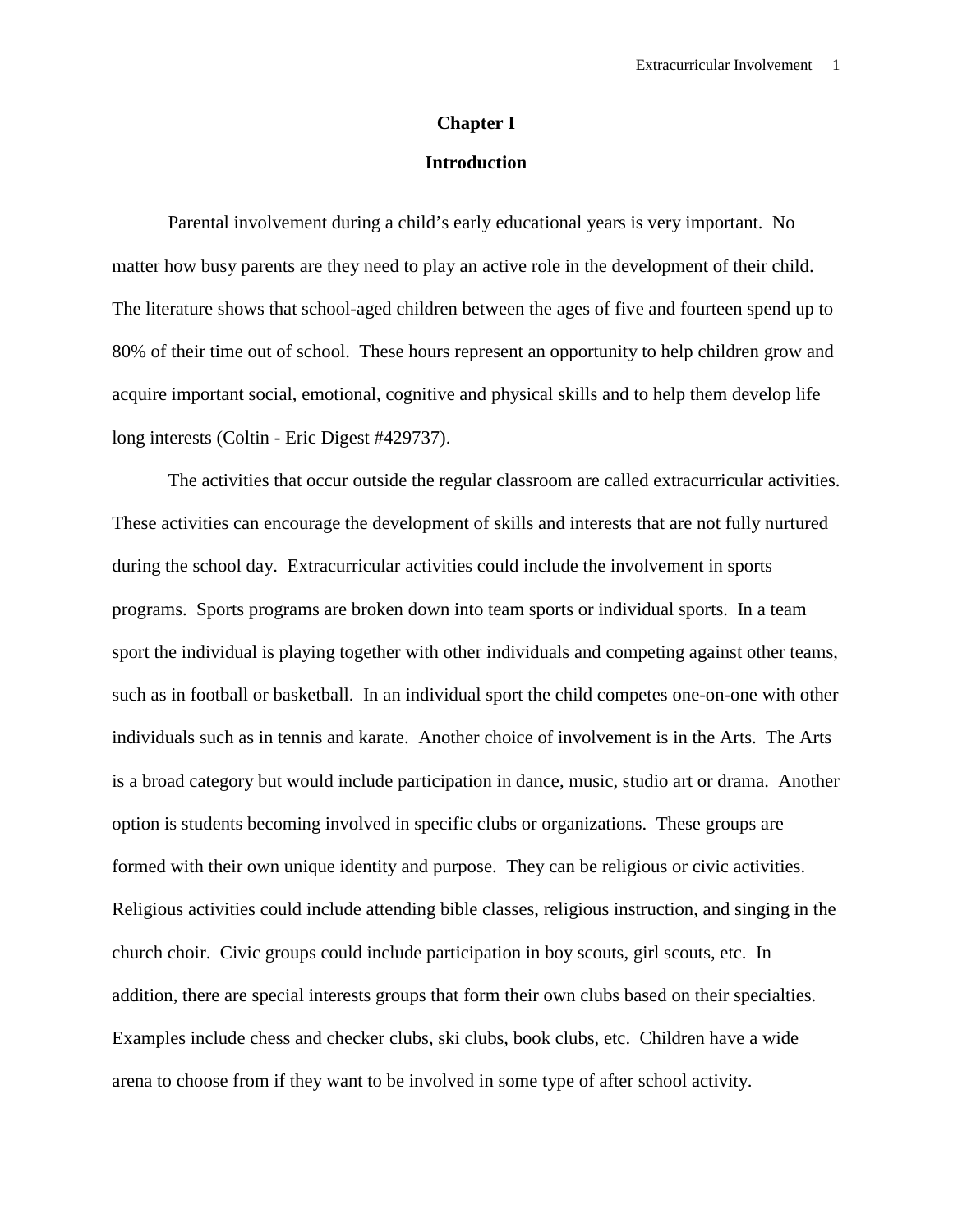# **Chapter I**

# **Introduction**

 Parental involvement during a child's early educational years is very important. No matter how busy parents are they need to play an active role in the development of their child. The literature shows that school-aged children between the ages of five and fourteen spend up to 80% of their time out of school. These hours represent an opportunity to help children grow and acquire important social, emotional, cognitive and physical skills and to help them develop life long interests (Coltin - Eric Digest #429737).

 The activities that occur outside the regular classroom are called extracurricular activities. These activities can encourage the development of skills and interests that are not fully nurtured during the school day. Extracurricular activities could include the involvement in sports programs. Sports programs are broken down into team sports or individual sports. In a team sport the individual is playing together with other individuals and competing against other teams, such as in football or basketball. In an individual sport the child competes one-on-one with other individuals such as in tennis and karate. Another choice of involvement is in the Arts. The Arts is a broad category but would include participation in dance, music, studio art or drama. Another option is students becoming involved in specific clubs or organizations. These groups are formed with their own unique identity and purpose. They can be religious or civic activities. Religious activities could include attending bible classes, religious instruction, and singing in the church choir. Civic groups could include participation in boy scouts, girl scouts, etc. In addition, there are special interests groups that form their own clubs based on their specialties. Examples include chess and checker clubs, ski clubs, book clubs, etc. Children have a wide arena to choose from if they want to be involved in some type of after school activity.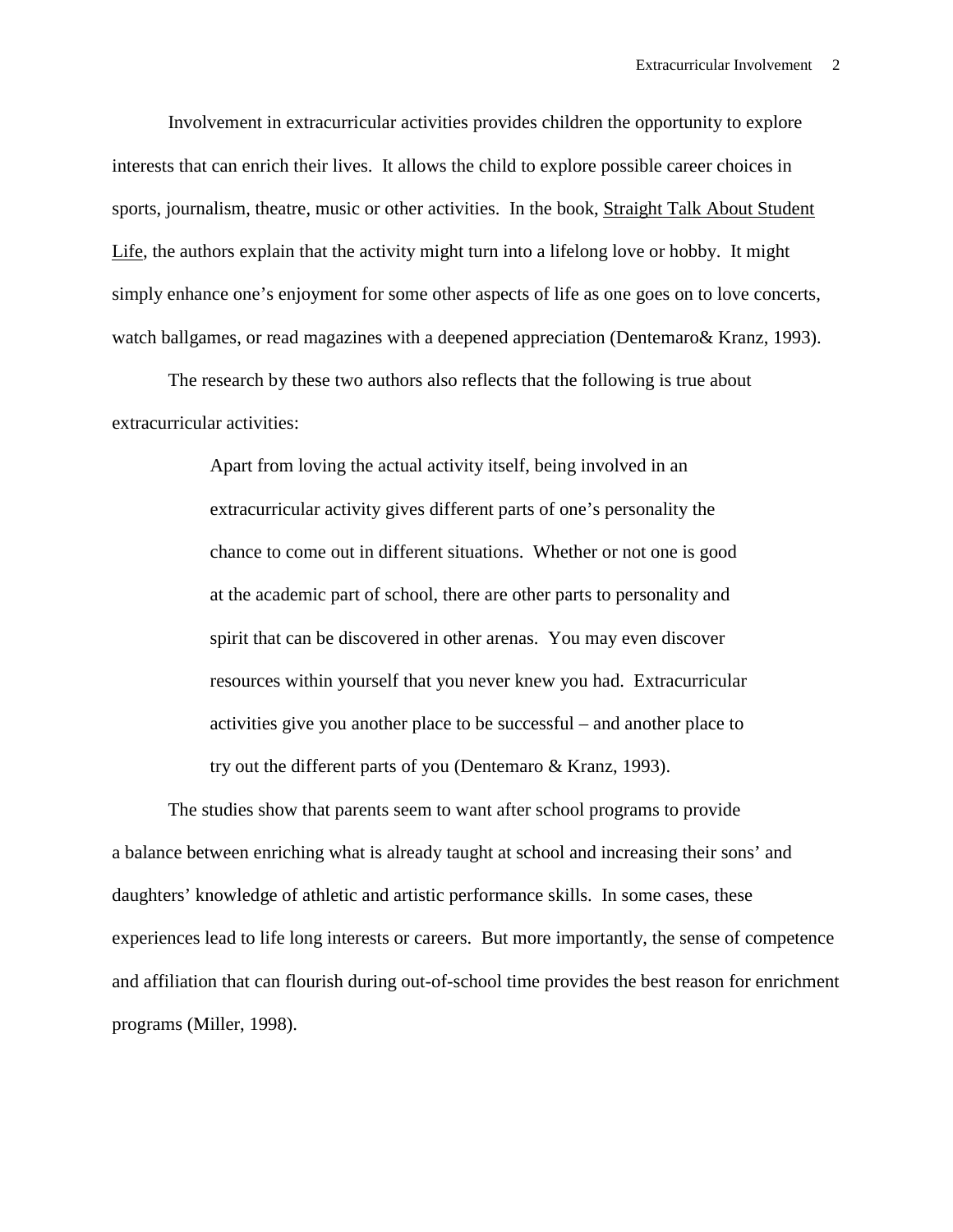Involvement in extracurricular activities provides children the opportunity to explore interests that can enrich their lives. It allows the child to explore possible career choices in sports, journalism, theatre, music or other activities. In the book, Straight Talk About Student Life, the authors explain that the activity might turn into a lifelong love or hobby. It might simply enhance one's enjoyment for some other aspects of life as one goes on to love concerts, watch ballgames, or read magazines with a deepened appreciation (Dentemaro& Kranz, 1993).

The research by these two authors also reflects that the following is true about extracurricular activities:

> Apart from loving the actual activity itself, being involved in an extracurricular activity gives different parts of one's personality the chance to come out in different situations. Whether or not one is good at the academic part of school, there are other parts to personality and spirit that can be discovered in other arenas. You may even discover resources within yourself that you never knew you had. Extracurricular activities give you another place to be successful – and another place to try out the different parts of you (Dentemaro & Kranz, 1993).

The studies show that parents seem to want after school programs to provide a balance between enriching what is already taught at school and increasing their sons' and daughters' knowledge of athletic and artistic performance skills. In some cases, these experiences lead to life long interests or careers. But more importantly, the sense of competence and affiliation that can flourish during out-of-school time provides the best reason for enrichment programs (Miller, 1998).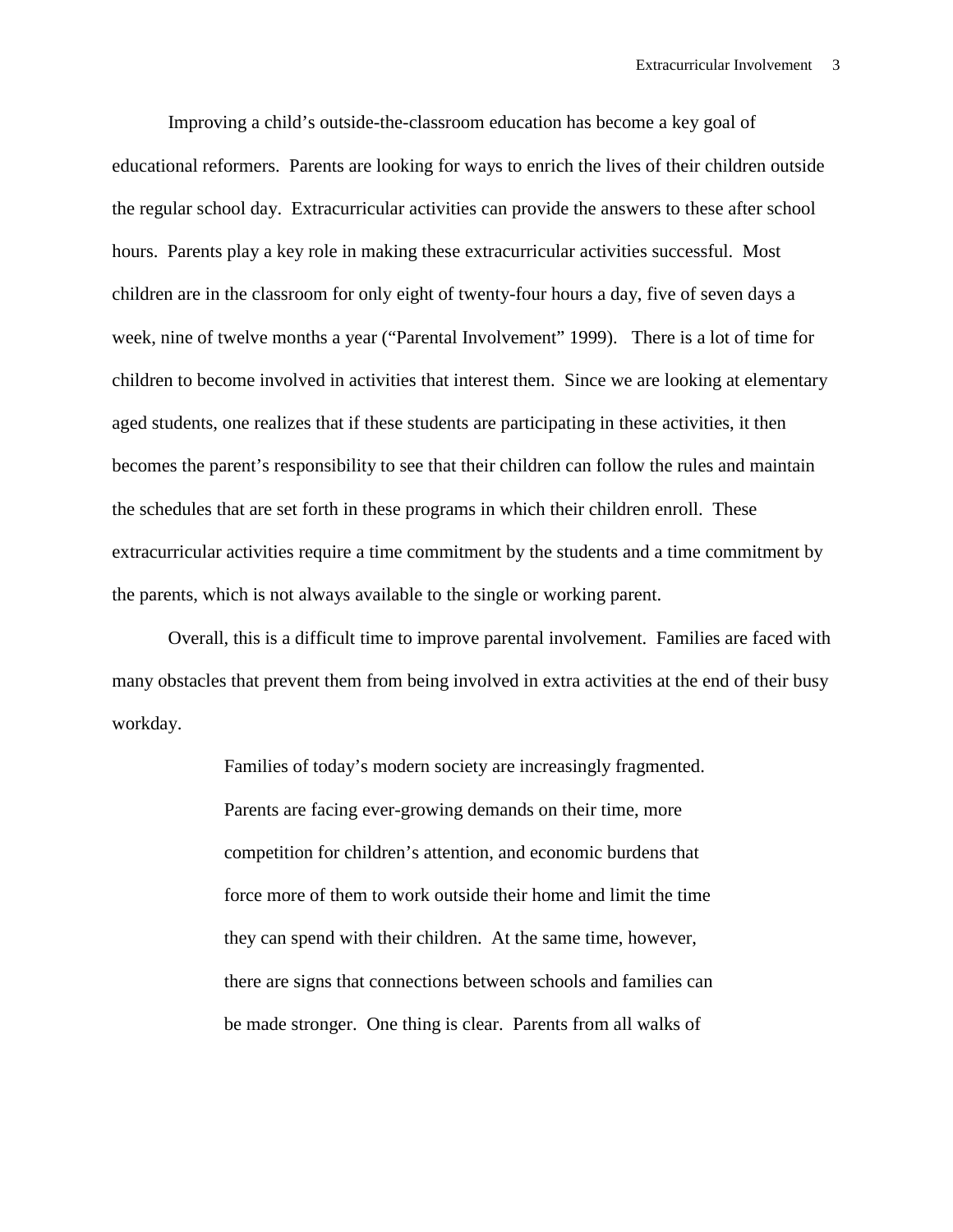Improving a child's outside-the-classroom education has become a key goal of educational reformers. Parents are looking for ways to enrich the lives of their children outside the regular school day. Extracurricular activities can provide the answers to these after school hours. Parents play a key role in making these extracurricular activities successful. Most children are in the classroom for only eight of twenty-four hours a day, five of seven days a week, nine of twelve months a year ("Parental Involvement" 1999). There is a lot of time for children to become involved in activities that interest them. Since we are looking at elementary aged students, one realizes that if these students are participating in these activities, it then becomes the parent's responsibility to see that their children can follow the rules and maintain the schedules that are set forth in these programs in which their children enroll. These extracurricular activities require a time commitment by the students and a time commitment by the parents, which is not always available to the single or working parent.

 Overall, this is a difficult time to improve parental involvement. Families are faced with many obstacles that prevent them from being involved in extra activities at the end of their busy workday.

> Families of today's modern society are increasingly fragmented. Parents are facing ever-growing demands on their time, more competition for children's attention, and economic burdens that force more of them to work outside their home and limit the time they can spend with their children. At the same time, however, there are signs that connections between schools and families can be made stronger. One thing is clear. Parents from all walks of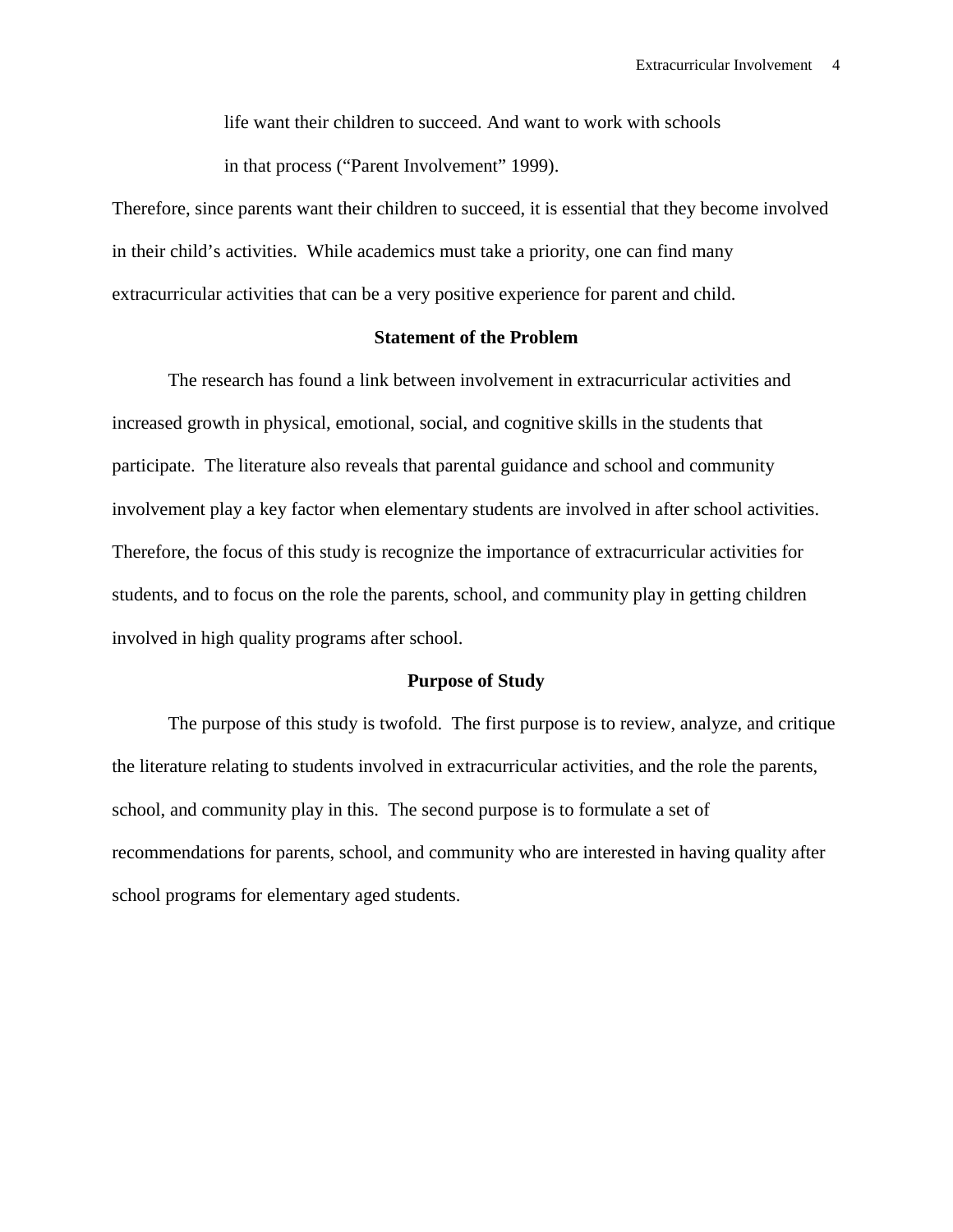life want their children to succeed. And want to work with schools in that process ("Parent Involvement" 1999).

Therefore, since parents want their children to succeed, it is essential that they become involved in their child's activities. While academics must take a priority, one can find many extracurricular activities that can be a very positive experience for parent and child.

# **Statement of the Problem**

The research has found a link between involvement in extracurricular activities and increased growth in physical, emotional, social, and cognitive skills in the students that participate. The literature also reveals that parental guidance and school and community involvement play a key factor when elementary students are involved in after school activities. Therefore, the focus of this study is recognize the importance of extracurricular activities for students, and to focus on the role the parents, school, and community play in getting children involved in high quality programs after school.

# **Purpose of Study**

 The purpose of this study is twofold. The first purpose is to review, analyze, and critique the literature relating to students involved in extracurricular activities, and the role the parents, school, and community play in this. The second purpose is to formulate a set of recommendations for parents, school, and community who are interested in having quality after school programs for elementary aged students.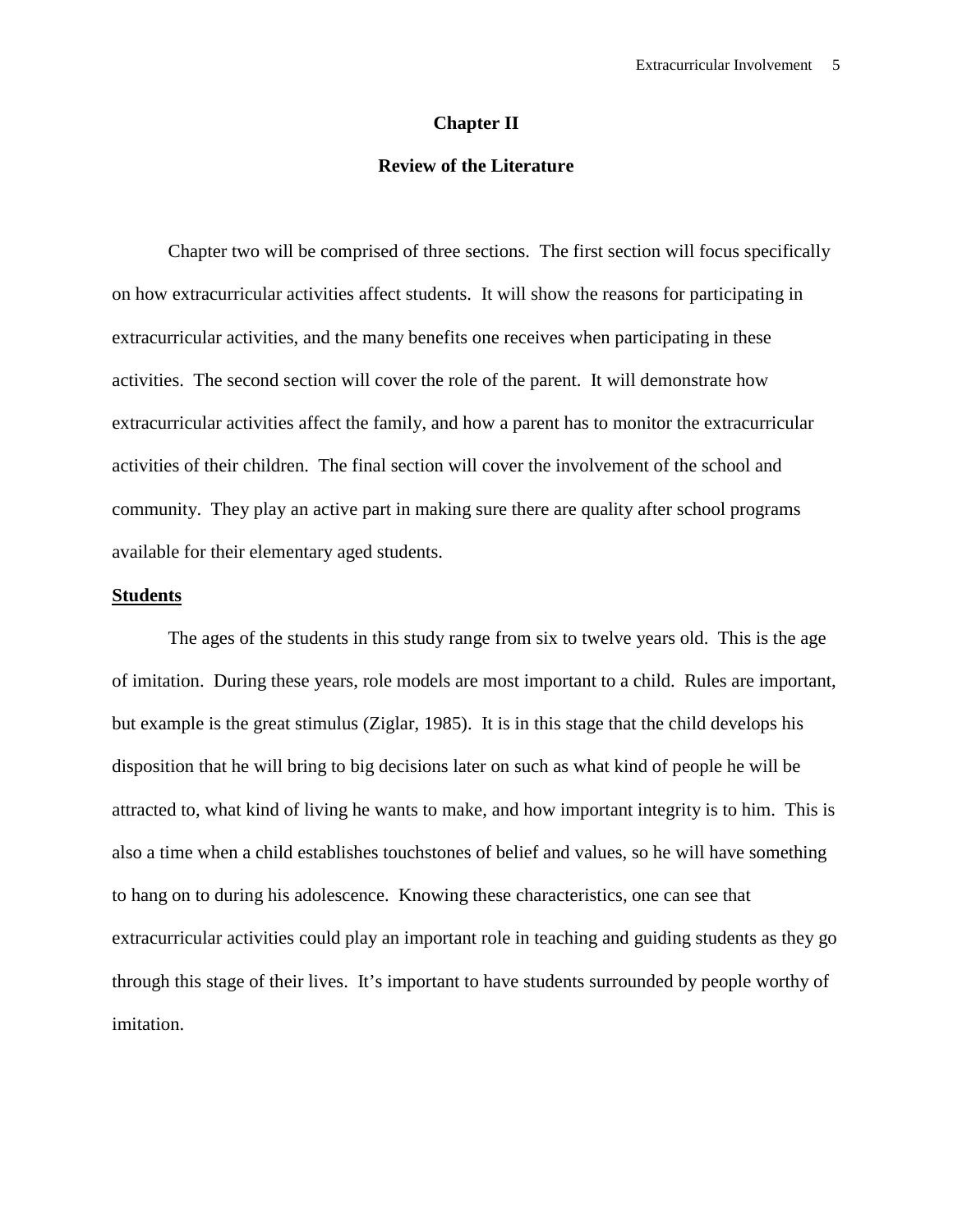# **Chapter II**

# **Review of the Literature**

Chapter two will be comprised of three sections. The first section will focus specifically on how extracurricular activities affect students. It will show the reasons for participating in extracurricular activities, and the many benefits one receives when participating in these activities. The second section will cover the role of the parent. It will demonstrate how extracurricular activities affect the family, and how a parent has to monitor the extracurricular activities of their children. The final section will cover the involvement of the school and community. They play an active part in making sure there are quality after school programs available for their elementary aged students.

### **Students**

The ages of the students in this study range from six to twelve years old. This is the age of imitation. During these years, role models are most important to a child. Rules are important, but example is the great stimulus (Ziglar, 1985). It is in this stage that the child develops his disposition that he will bring to big decisions later on such as what kind of people he will be attracted to, what kind of living he wants to make, and how important integrity is to him. This is also a time when a child establishes touchstones of belief and values, so he will have something to hang on to during his adolescence. Knowing these characteristics, one can see that extracurricular activities could play an important role in teaching and guiding students as they go through this stage of their lives. It's important to have students surrounded by people worthy of imitation.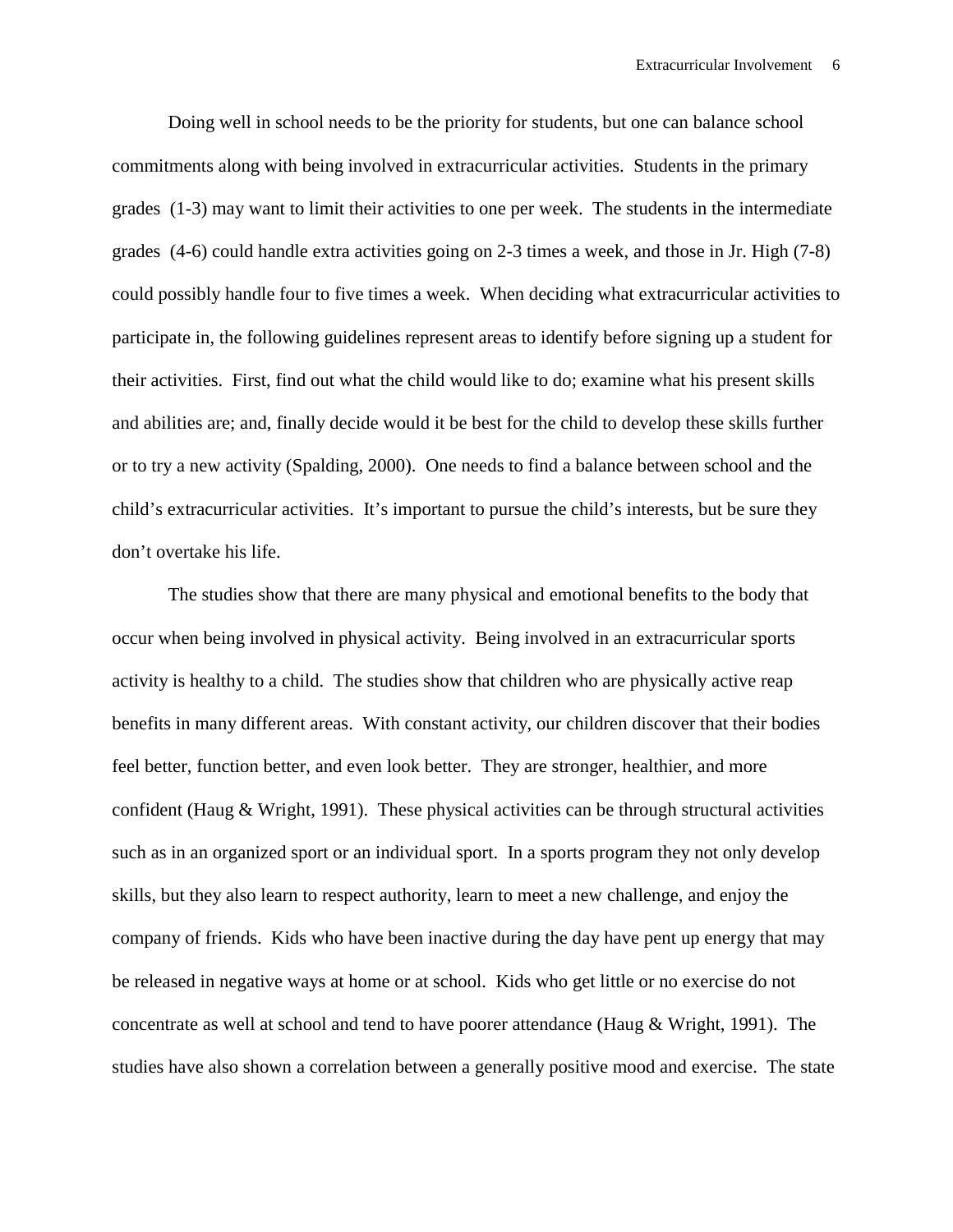Doing well in school needs to be the priority for students, but one can balance school commitments along with being involved in extracurricular activities. Students in the primary grades (1-3) may want to limit their activities to one per week. The students in the intermediate grades (4-6) could handle extra activities going on 2-3 times a week, and those in Jr. High (7-8) could possibly handle four to five times a week. When deciding what extracurricular activities to participate in, the following guidelines represent areas to identify before signing up a student for their activities. First, find out what the child would like to do; examine what his present skills and abilities are; and, finally decide would it be best for the child to develop these skills further or to try a new activity (Spalding, 2000). One needs to find a balance between school and the child's extracurricular activities. It's important to pursue the child's interests, but be sure they don't overtake his life.

The studies show that there are many physical and emotional benefits to the body that occur when being involved in physical activity. Being involved in an extracurricular sports activity is healthy to a child. The studies show that children who are physically active reap benefits in many different areas. With constant activity, our children discover that their bodies feel better, function better, and even look better. They are stronger, healthier, and more confident (Haug  $& Wright, 1991$ ). These physical activities can be through structural activities such as in an organized sport or an individual sport. In a sports program they not only develop skills, but they also learn to respect authority, learn to meet a new challenge, and enjoy the company of friends. Kids who have been inactive during the day have pent up energy that may be released in negative ways at home or at school. Kids who get little or no exercise do not concentrate as well at school and tend to have poorer attendance (Haug  $\&$  Wright, 1991). The studies have also shown a correlation between a generally positive mood and exercise. The state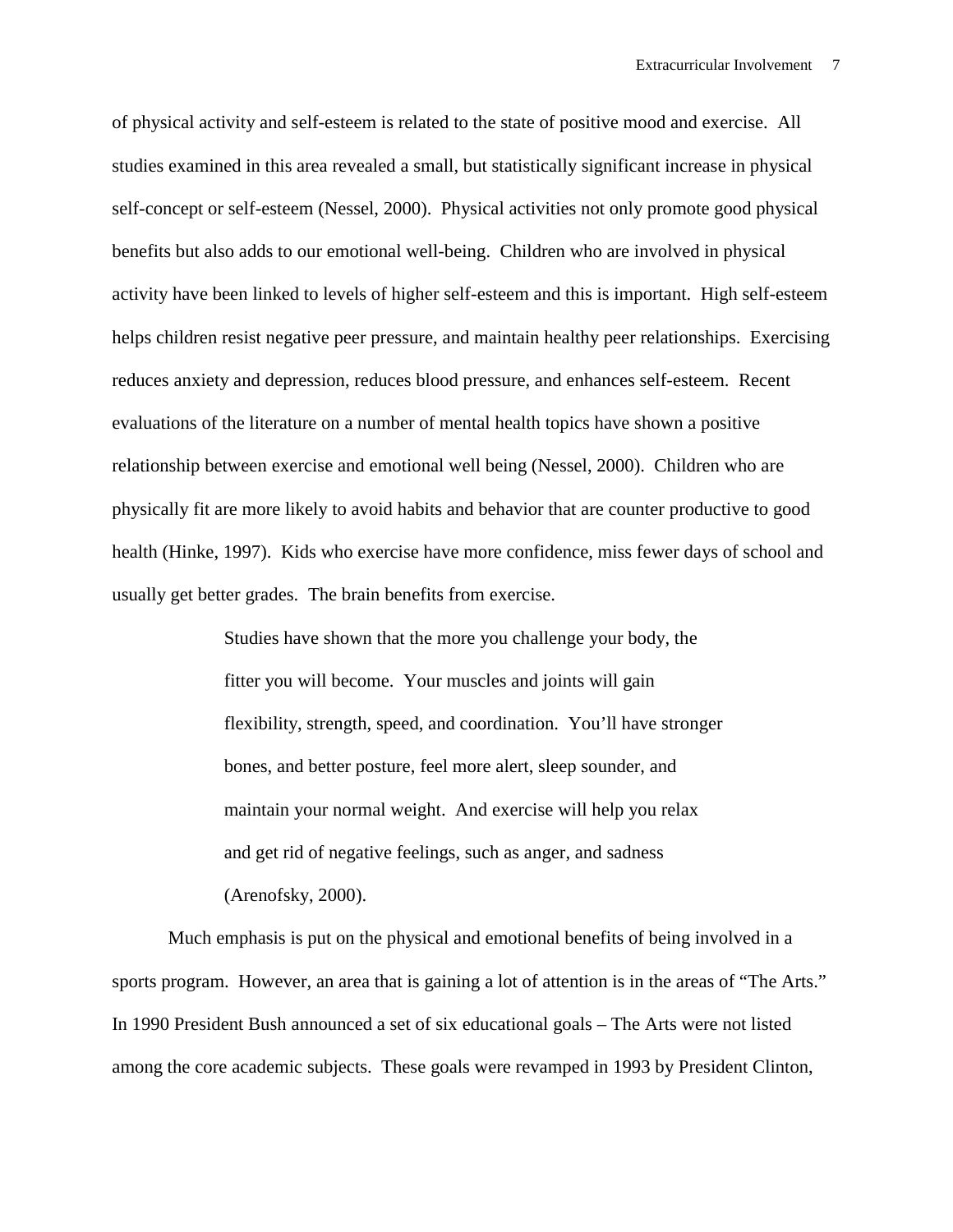of physical activity and self-esteem is related to the state of positive mood and exercise. All studies examined in this area revealed a small, but statistically significant increase in physical self-concept or self-esteem (Nessel, 2000). Physical activities not only promote good physical benefits but also adds to our emotional well-being. Children who are involved in physical activity have been linked to levels of higher self-esteem and this is important. High self-esteem helps children resist negative peer pressure, and maintain healthy peer relationships. Exercising reduces anxiety and depression, reduces blood pressure, and enhances self-esteem. Recent evaluations of the literature on a number of mental health topics have shown a positive relationship between exercise and emotional well being (Nessel, 2000). Children who are physically fit are more likely to avoid habits and behavior that are counter productive to good health (Hinke, 1997). Kids who exercise have more confidence, miss fewer days of school and usually get better grades. The brain benefits from exercise.

> Studies have shown that the more you challenge your body, the fitter you will become. Your muscles and joints will gain flexibility, strength, speed, and coordination. You'll have stronger bones, and better posture, feel more alert, sleep sounder, and maintain your normal weight. And exercise will help you relax and get rid of negative feelings, such as anger, and sadness (Arenofsky, 2000).

Much emphasis is put on the physical and emotional benefits of being involved in a sports program. However, an area that is gaining a lot of attention is in the areas of "The Arts." In 1990 President Bush announced a set of six educational goals – The Arts were not listed among the core academic subjects. These goals were revamped in 1993 by President Clinton,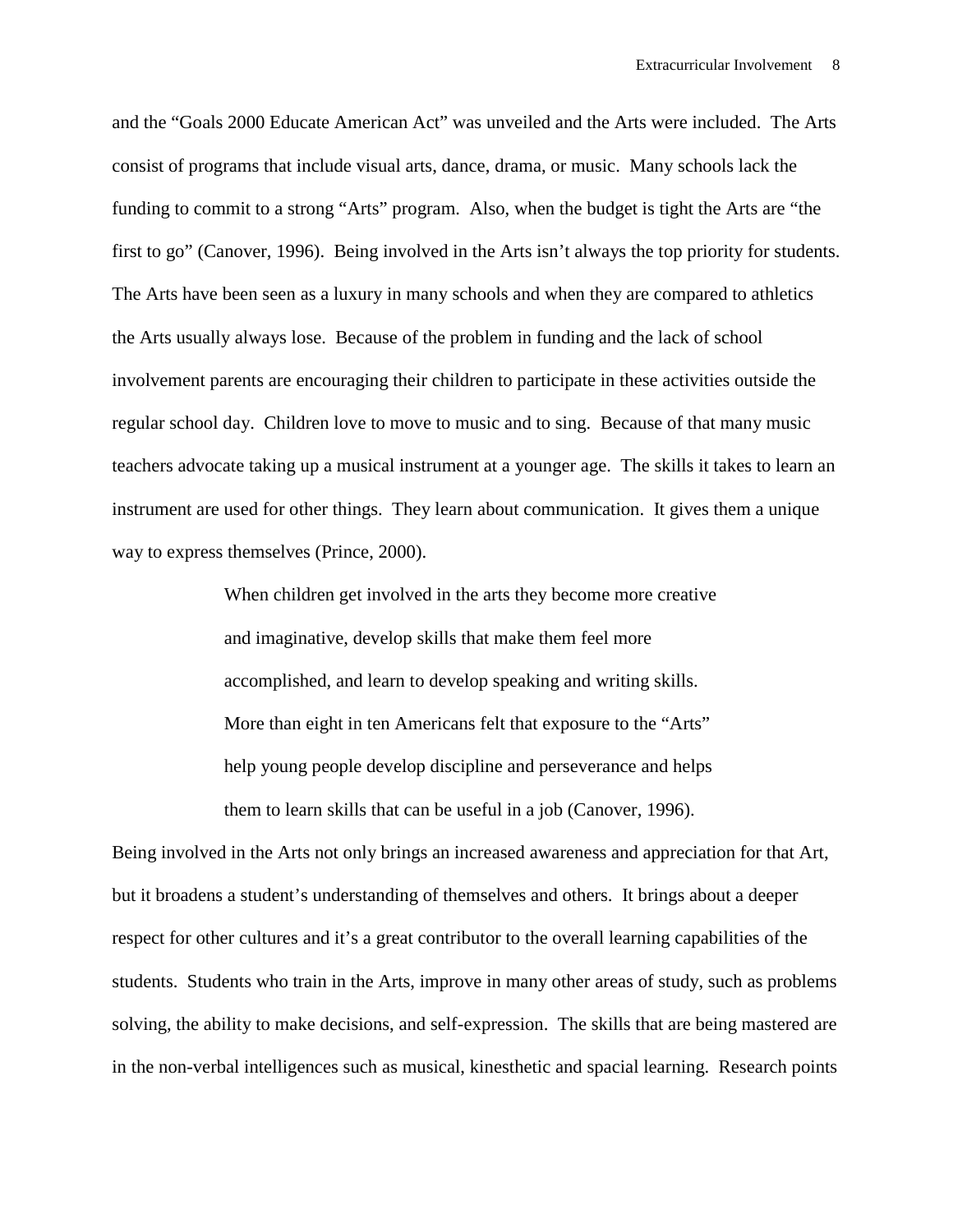and the "Goals 2000 Educate American Act" was unveiled and the Arts were included. The Arts consist of programs that include visual arts, dance, drama, or music. Many schools lack the funding to commit to a strong "Arts" program. Also, when the budget is tight the Arts are "the first to go" (Canover, 1996). Being involved in the Arts isn't always the top priority for students. The Arts have been seen as a luxury in many schools and when they are compared to athletics the Arts usually always lose. Because of the problem in funding and the lack of school involvement parents are encouraging their children to participate in these activities outside the regular school day. Children love to move to music and to sing. Because of that many music teachers advocate taking up a musical instrument at a younger age. The skills it takes to learn an instrument are used for other things. They learn about communication. It gives them a unique way to express themselves (Prince, 2000).

> When children get involved in the arts they become more creative and imaginative, develop skills that make them feel more accomplished, and learn to develop speaking and writing skills. More than eight in ten Americans felt that exposure to the "Arts" help young people develop discipline and perseverance and helps them to learn skills that can be useful in a job (Canover, 1996).

Being involved in the Arts not only brings an increased awareness and appreciation for that Art, but it broadens a student's understanding of themselves and others. It brings about a deeper respect for other cultures and it's a great contributor to the overall learning capabilities of the students. Students who train in the Arts, improve in many other areas of study, such as problems solving, the ability to make decisions, and self-expression. The skills that are being mastered are in the non-verbal intelligences such as musical, kinesthetic and spacial learning. Research points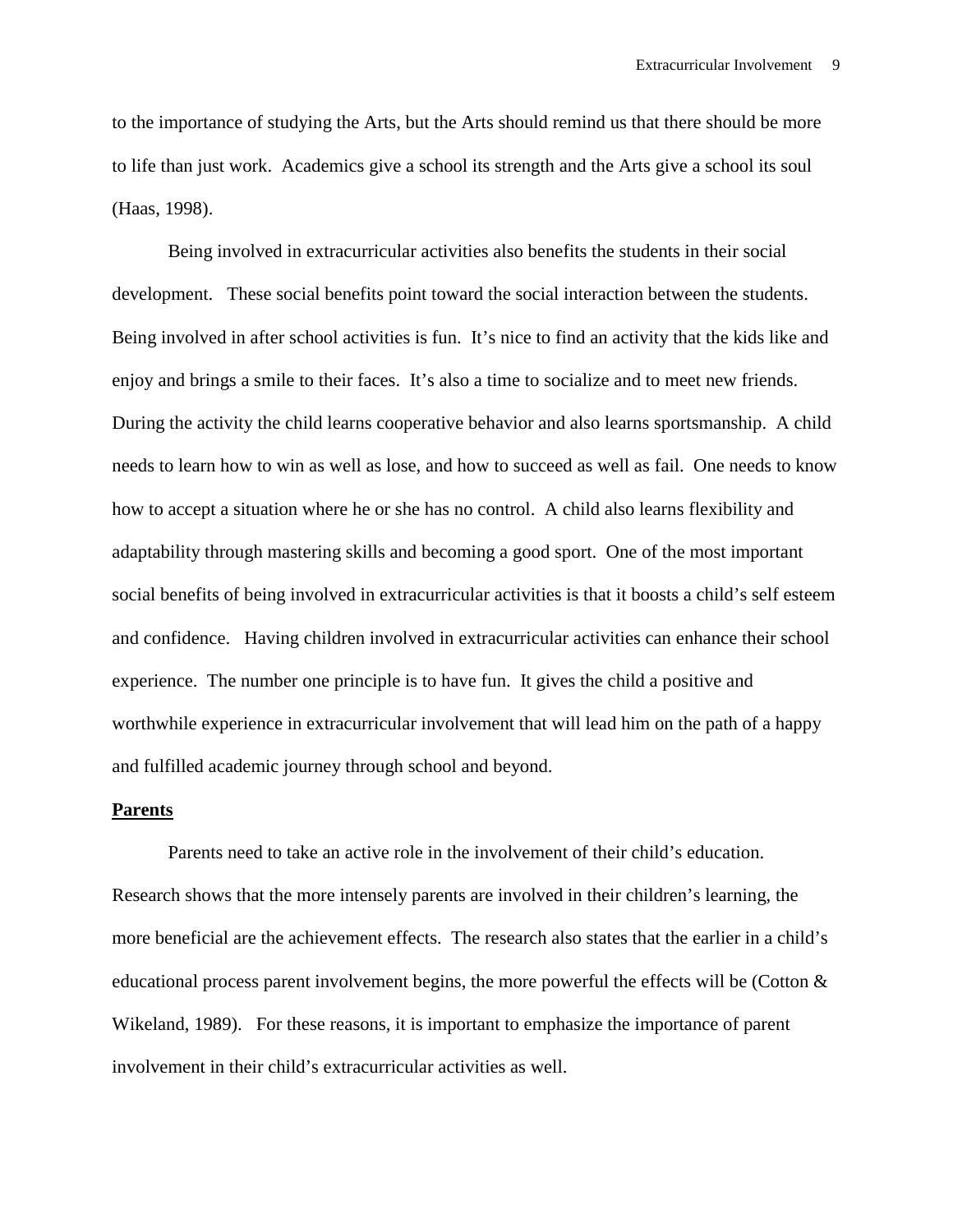to the importance of studying the Arts, but the Arts should remind us that there should be more to life than just work. Academics give a school its strength and the Arts give a school its soul (Haas, 1998).

Being involved in extracurricular activities also benefits the students in their social development. These social benefits point toward the social interaction between the students. Being involved in after school activities is fun. It's nice to find an activity that the kids like and enjoy and brings a smile to their faces. It's also a time to socialize and to meet new friends. During the activity the child learns cooperative behavior and also learns sportsmanship. A child needs to learn how to win as well as lose, and how to succeed as well as fail. One needs to know how to accept a situation where he or she has no control. A child also learns flexibility and adaptability through mastering skills and becoming a good sport. One of the most important social benefits of being involved in extracurricular activities is that it boosts a child's self esteem and confidence. Having children involved in extracurricular activities can enhance their school experience. The number one principle is to have fun. It gives the child a positive and worthwhile experience in extracurricular involvement that will lead him on the path of a happy and fulfilled academic journey through school and beyond.

#### **Parents**

Parents need to take an active role in the involvement of their child's education. Research shows that the more intensely parents are involved in their children's learning, the more beneficial are the achievement effects. The research also states that the earlier in a child's educational process parent involvement begins, the more powerful the effects will be (Cotton  $\&$ Wikeland, 1989). For these reasons, it is important to emphasize the importance of parent involvement in their child's extracurricular activities as well.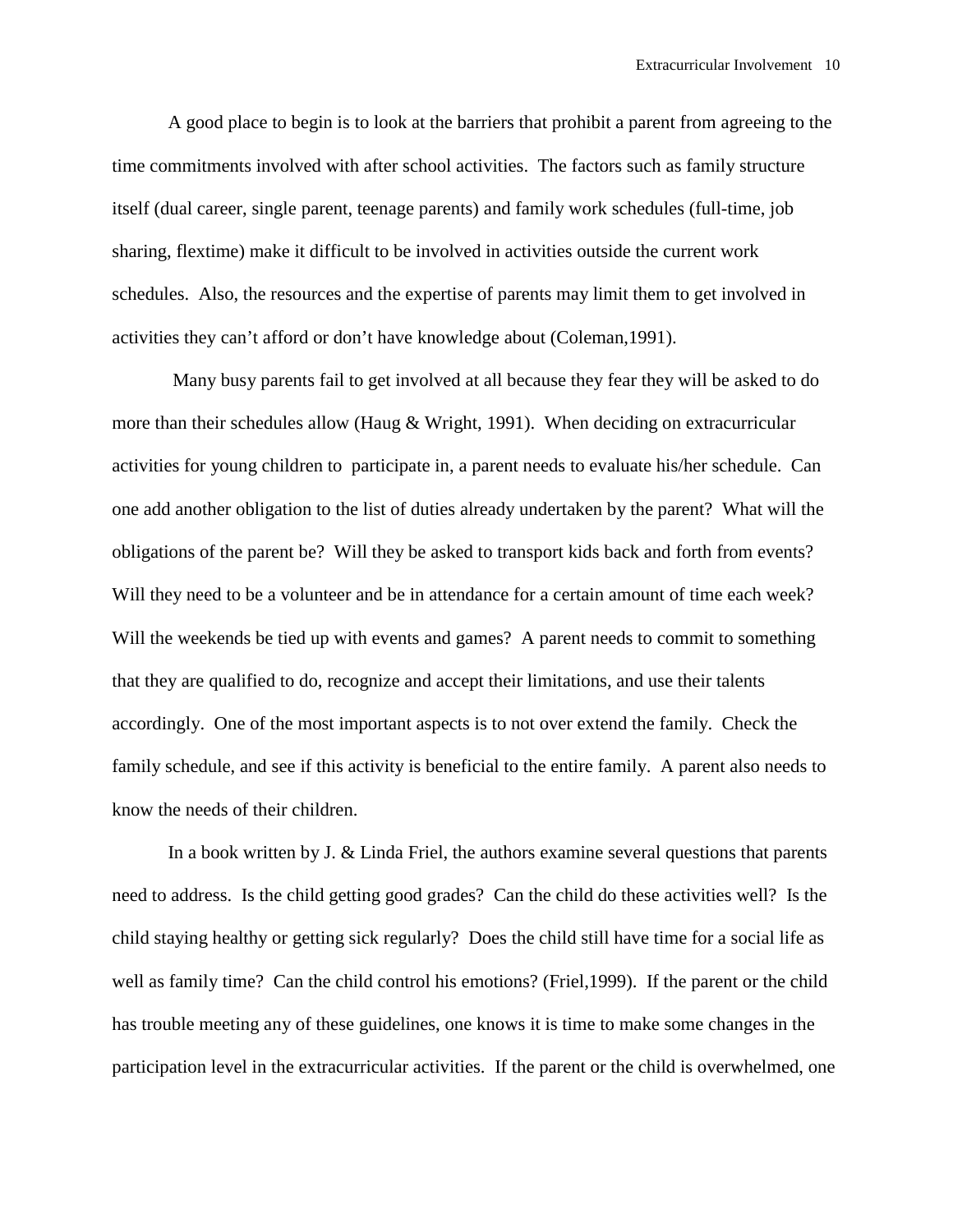A good place to begin is to look at the barriers that prohibit a parent from agreeing to the time commitments involved with after school activities. The factors such as family structure itself (dual career, single parent, teenage parents) and family work schedules (full-time, job sharing, flextime) make it difficult to be involved in activities outside the current work schedules. Also, the resources and the expertise of parents may limit them to get involved in activities they can't afford or don't have knowledge about (Coleman,1991).

 Many busy parents fail to get involved at all because they fear they will be asked to do more than their schedules allow (Haug & Wright, 1991). When deciding on extracurricular activities for young children to participate in, a parent needs to evaluate his/her schedule. Can one add another obligation to the list of duties already undertaken by the parent? What will the obligations of the parent be? Will they be asked to transport kids back and forth from events? Will they need to be a volunteer and be in attendance for a certain amount of time each week? Will the weekends be tied up with events and games? A parent needs to commit to something that they are qualified to do, recognize and accept their limitations, and use their talents accordingly. One of the most important aspects is to not over extend the family. Check the family schedule, and see if this activity is beneficial to the entire family. A parent also needs to know the needs of their children.

In a book written by J. & Linda Friel, the authors examine several questions that parents need to address. Is the child getting good grades? Can the child do these activities well? Is the child staying healthy or getting sick regularly? Does the child still have time for a social life as well as family time? Can the child control his emotions? (Friel,1999). If the parent or the child has trouble meeting any of these guidelines, one knows it is time to make some changes in the participation level in the extracurricular activities. If the parent or the child is overwhelmed, one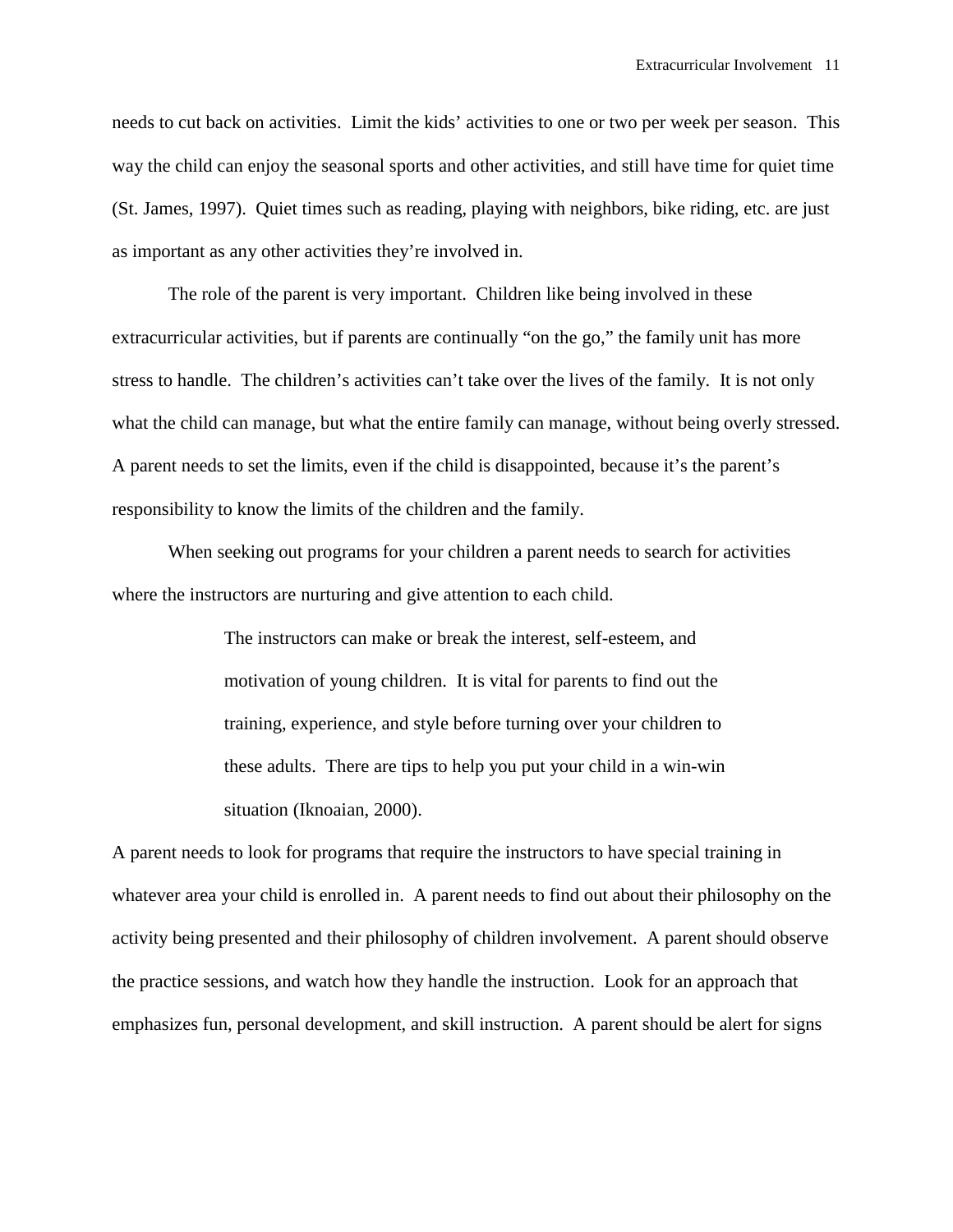needs to cut back on activities. Limit the kids' activities to one or two per week per season. This way the child can enjoy the seasonal sports and other activities, and still have time for quiet time (St. James, 1997). Quiet times such as reading, playing with neighbors, bike riding, etc. are just as important as any other activities they're involved in.

 The role of the parent is very important. Children like being involved in these extracurricular activities, but if parents are continually "on the go," the family unit has more stress to handle. The children's activities can't take over the lives of the family. It is not only what the child can manage, but what the entire family can manage, without being overly stressed. A parent needs to set the limits, even if the child is disappointed, because it's the parent's responsibility to know the limits of the children and the family.

 When seeking out programs for your children a parent needs to search for activities where the instructors are nurturing and give attention to each child.

> The instructors can make or break the interest, self-esteem, and motivation of young children. It is vital for parents to find out the training, experience, and style before turning over your children to these adults. There are tips to help you put your child in a win-win situation (Iknoaian, 2000).

A parent needs to look for programs that require the instructors to have special training in whatever area your child is enrolled in. A parent needs to find out about their philosophy on the activity being presented and their philosophy of children involvement. A parent should observe the practice sessions, and watch how they handle the instruction. Look for an approach that emphasizes fun, personal development, and skill instruction. A parent should be alert for signs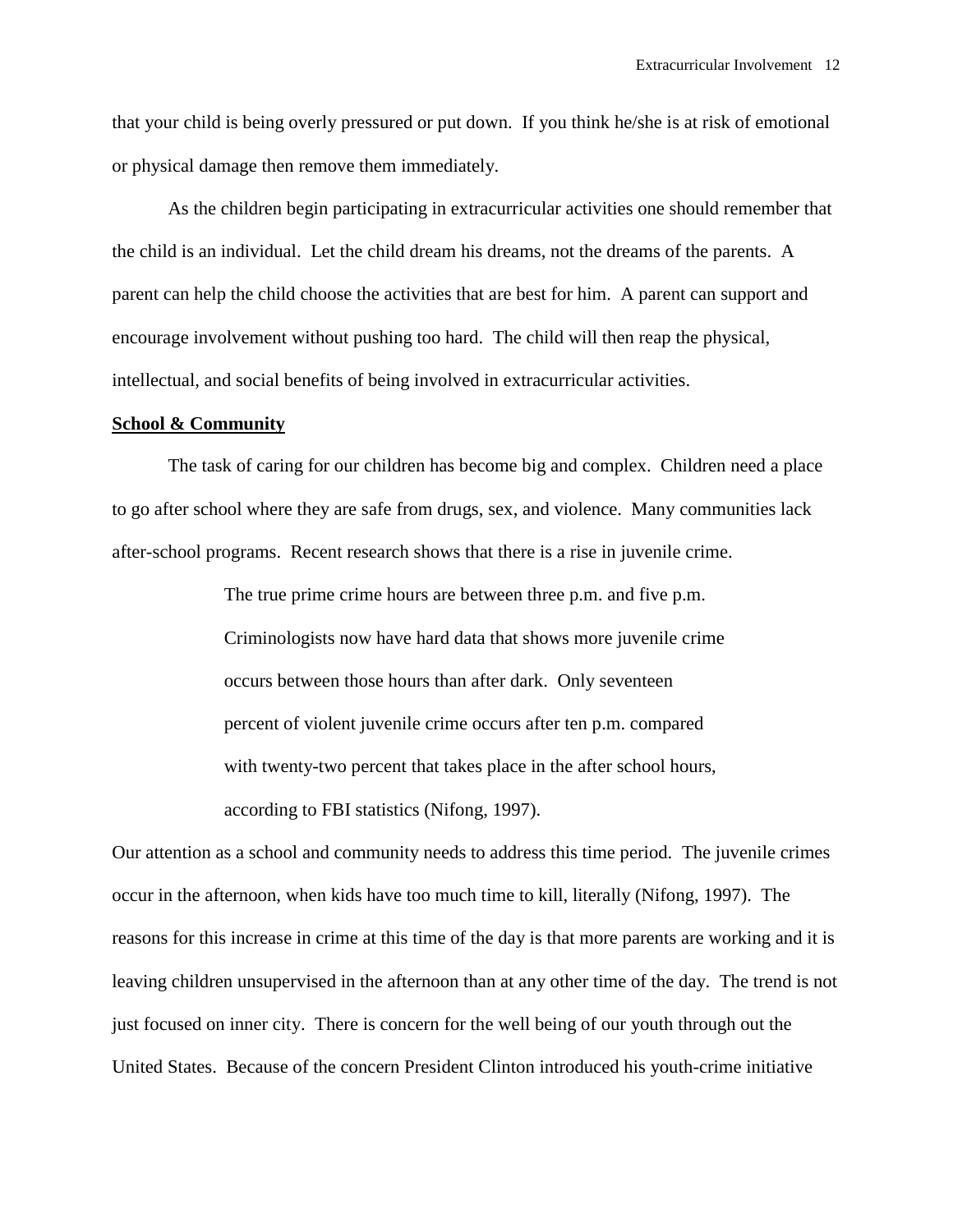that your child is being overly pressured or put down. If you think he/she is at risk of emotional or physical damage then remove them immediately.

 As the children begin participating in extracurricular activities one should remember that the child is an individual. Let the child dream his dreams, not the dreams of the parents. A parent can help the child choose the activities that are best for him. A parent can support and encourage involvement without pushing too hard. The child will then reap the physical, intellectual, and social benefits of being involved in extracurricular activities.

# **School & Community**

The task of caring for our children has become big and complex. Children need a place to go after school where they are safe from drugs, sex, and violence. Many communities lack after-school programs. Recent research shows that there is a rise in juvenile crime.

> The true prime crime hours are between three p.m. and five p.m. Criminologists now have hard data that shows more juvenile crime occurs between those hours than after dark. Only seventeen percent of violent juvenile crime occurs after ten p.m. compared with twenty-two percent that takes place in the after school hours, according to FBI statistics (Nifong, 1997).

Our attention as a school and community needs to address this time period. The juvenile crimes occur in the afternoon, when kids have too much time to kill, literally (Nifong, 1997). The reasons for this increase in crime at this time of the day is that more parents are working and it is leaving children unsupervised in the afternoon than at any other time of the day. The trend is not just focused on inner city. There is concern for the well being of our youth through out the United States. Because of the concern President Clinton introduced his youth-crime initiative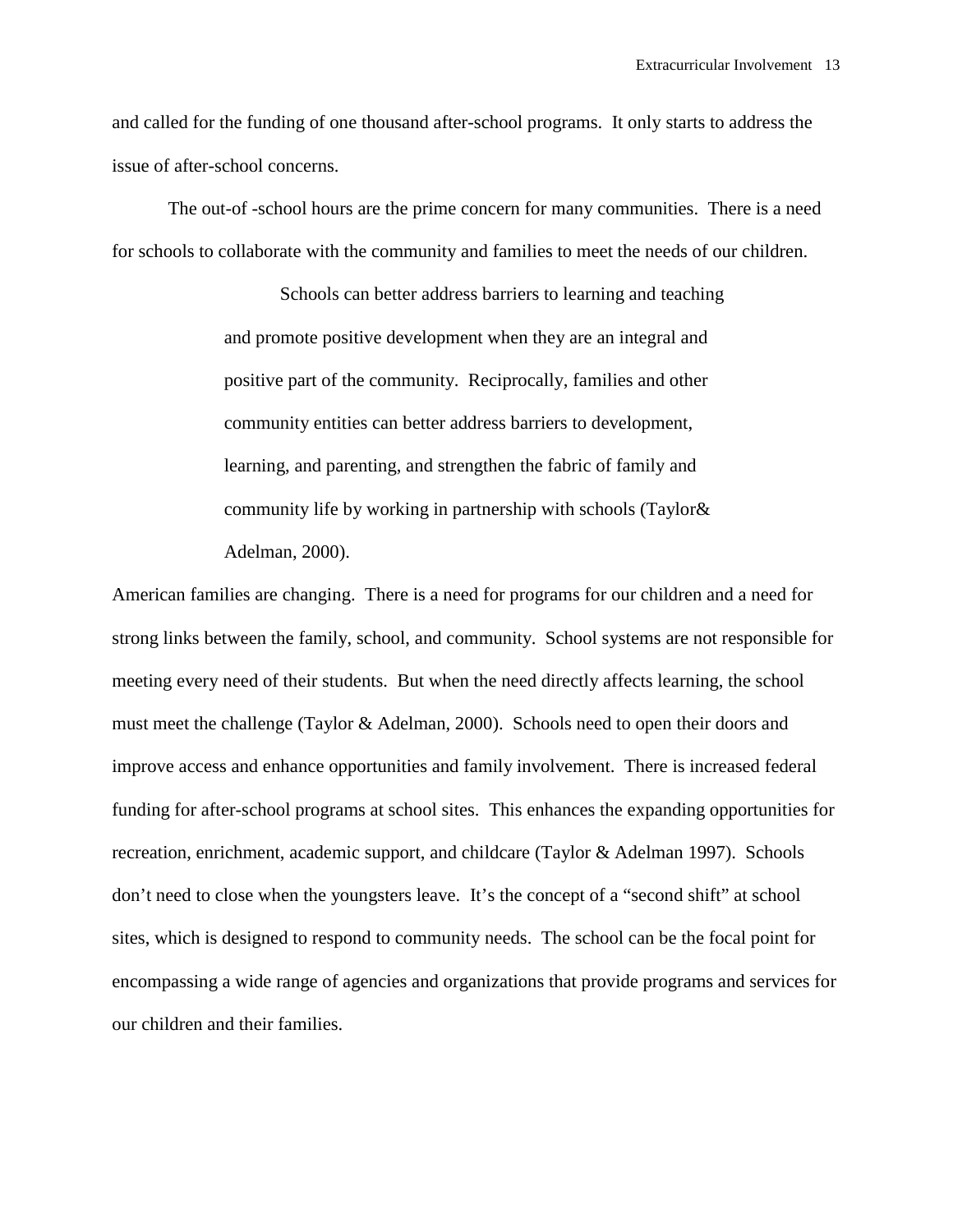and called for the funding of one thousand after-school programs. It only starts to address the issue of after-school concerns.

The out-of -school hours are the prime concern for many communities. There is a need for schools to collaborate with the community and families to meet the needs of our children.

> Schools can better address barriers to learning and teaching and promote positive development when they are an integral and positive part of the community. Reciprocally, families and other community entities can better address barriers to development, learning, and parenting, and strengthen the fabric of family and community life by working in partnership with schools (Taylor& Adelman, 2000).

American families are changing. There is a need for programs for our children and a need for strong links between the family, school, and community. School systems are not responsible for meeting every need of their students. But when the need directly affects learning, the school must meet the challenge (Taylor & Adelman, 2000). Schools need to open their doors and improve access and enhance opportunities and family involvement. There is increased federal funding for after-school programs at school sites. This enhances the expanding opportunities for recreation, enrichment, academic support, and childcare (Taylor & Adelman 1997). Schools don't need to close when the youngsters leave. It's the concept of a "second shift" at school sites, which is designed to respond to community needs. The school can be the focal point for encompassing a wide range of agencies and organizations that provide programs and services for our children and their families.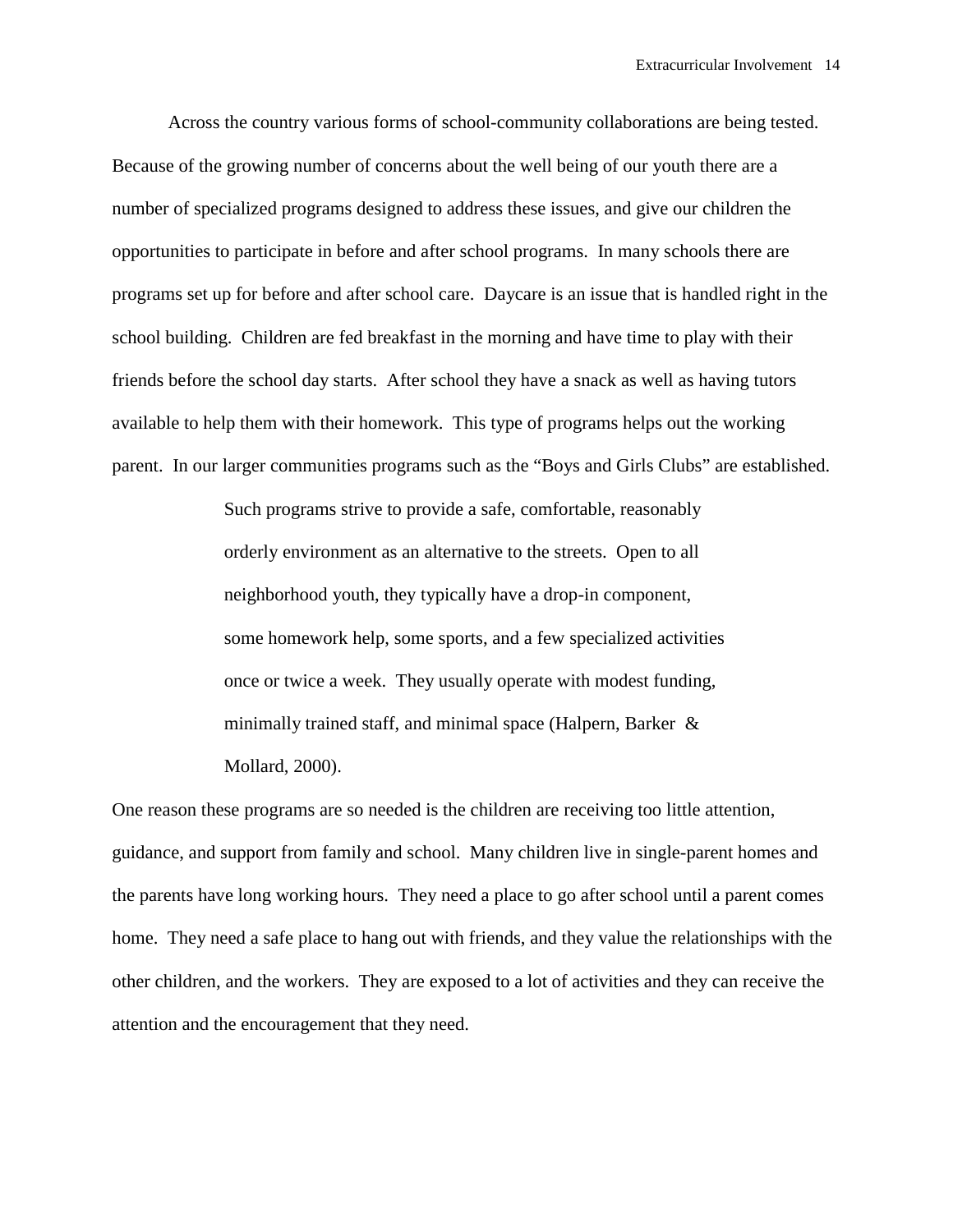Across the country various forms of school-community collaborations are being tested. Because of the growing number of concerns about the well being of our youth there are a number of specialized programs designed to address these issues, and give our children the opportunities to participate in before and after school programs. In many schools there are programs set up for before and after school care. Daycare is an issue that is handled right in the school building. Children are fed breakfast in the morning and have time to play with their friends before the school day starts. After school they have a snack as well as having tutors available to help them with their homework. This type of programs helps out the working parent. In our larger communities programs such as the "Boys and Girls Clubs" are established.

> Such programs strive to provide a safe, comfortable, reasonably orderly environment as an alternative to the streets. Open to all neighborhood youth, they typically have a drop-in component, some homework help, some sports, and a few specialized activities once or twice a week. They usually operate with modest funding, minimally trained staff, and minimal space (Halpern, Barker & Mollard, 2000).

One reason these programs are so needed is the children are receiving too little attention, guidance, and support from family and school. Many children live in single-parent homes and the parents have long working hours. They need a place to go after school until a parent comes home. They need a safe place to hang out with friends, and they value the relationships with the other children, and the workers. They are exposed to a lot of activities and they can receive the attention and the encouragement that they need.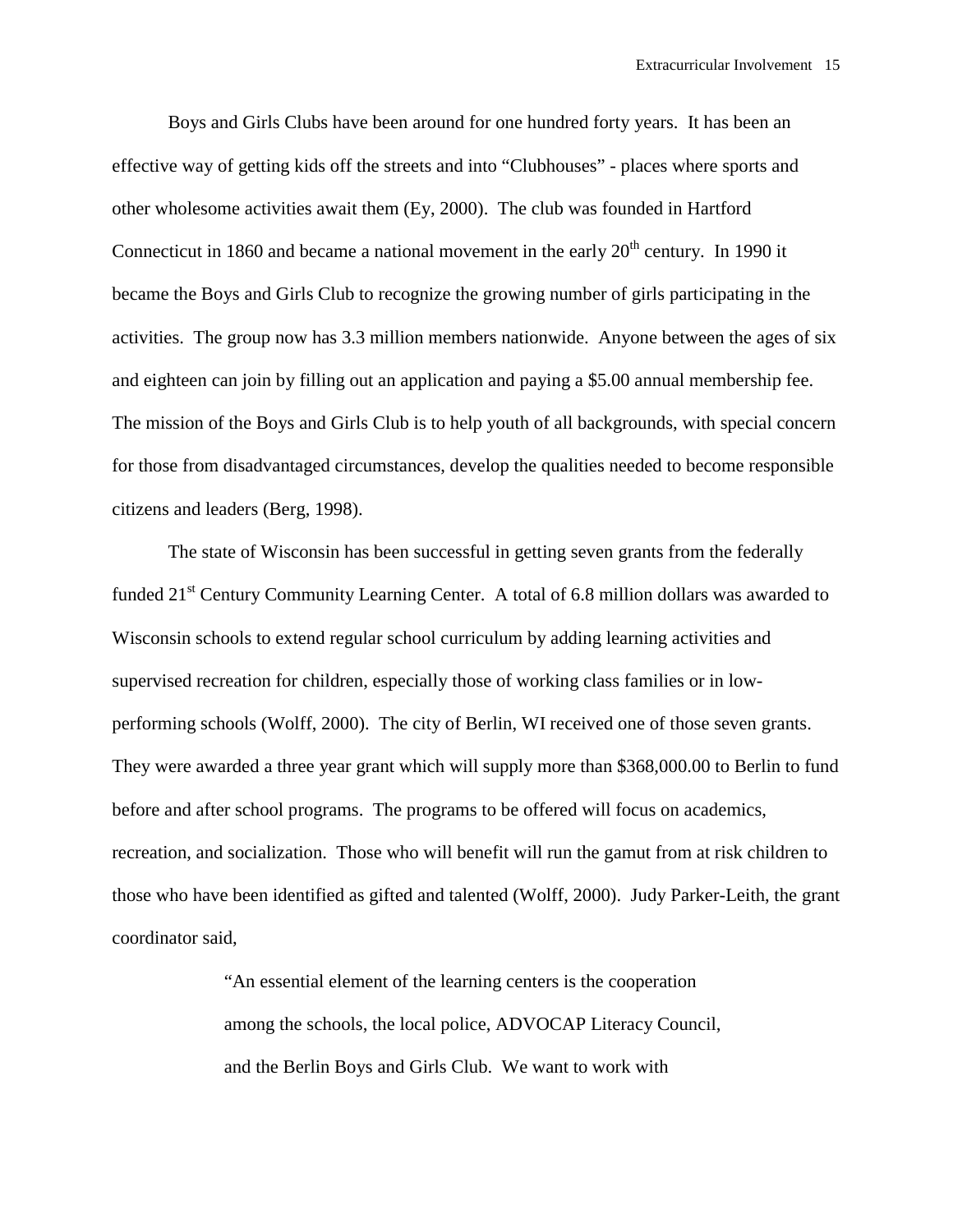Boys and Girls Clubs have been around for one hundred forty years. It has been an effective way of getting kids off the streets and into "Clubhouses" - places where sports and other wholesome activities await them (Ey, 2000). The club was founded in Hartford Connecticut in 1860 and became a national movement in the early  $20<sup>th</sup>$  century. In 1990 it became the Boys and Girls Club to recognize the growing number of girls participating in the activities. The group now has 3.3 million members nationwide. Anyone between the ages of six and eighteen can join by filling out an application and paying a \$5.00 annual membership fee. The mission of the Boys and Girls Club is to help youth of all backgrounds, with special concern for those from disadvantaged circumstances, develop the qualities needed to become responsible citizens and leaders (Berg, 1998).

 The state of Wisconsin has been successful in getting seven grants from the federally funded  $21<sup>st</sup>$  Century Community Learning Center. A total of 6.8 million dollars was awarded to Wisconsin schools to extend regular school curriculum by adding learning activities and supervised recreation for children, especially those of working class families or in lowperforming schools (Wolff, 2000). The city of Berlin, WI received one of those seven grants. They were awarded a three year grant which will supply more than \$368,000.00 to Berlin to fund before and after school programs. The programs to be offered will focus on academics, recreation, and socialization. Those who will benefit will run the gamut from at risk children to those who have been identified as gifted and talented (Wolff, 2000). Judy Parker-Leith, the grant coordinator said,

> "An essential element of the learning centers is the cooperation among the schools, the local police, ADVOCAP Literacy Council, and the Berlin Boys and Girls Club. We want to work with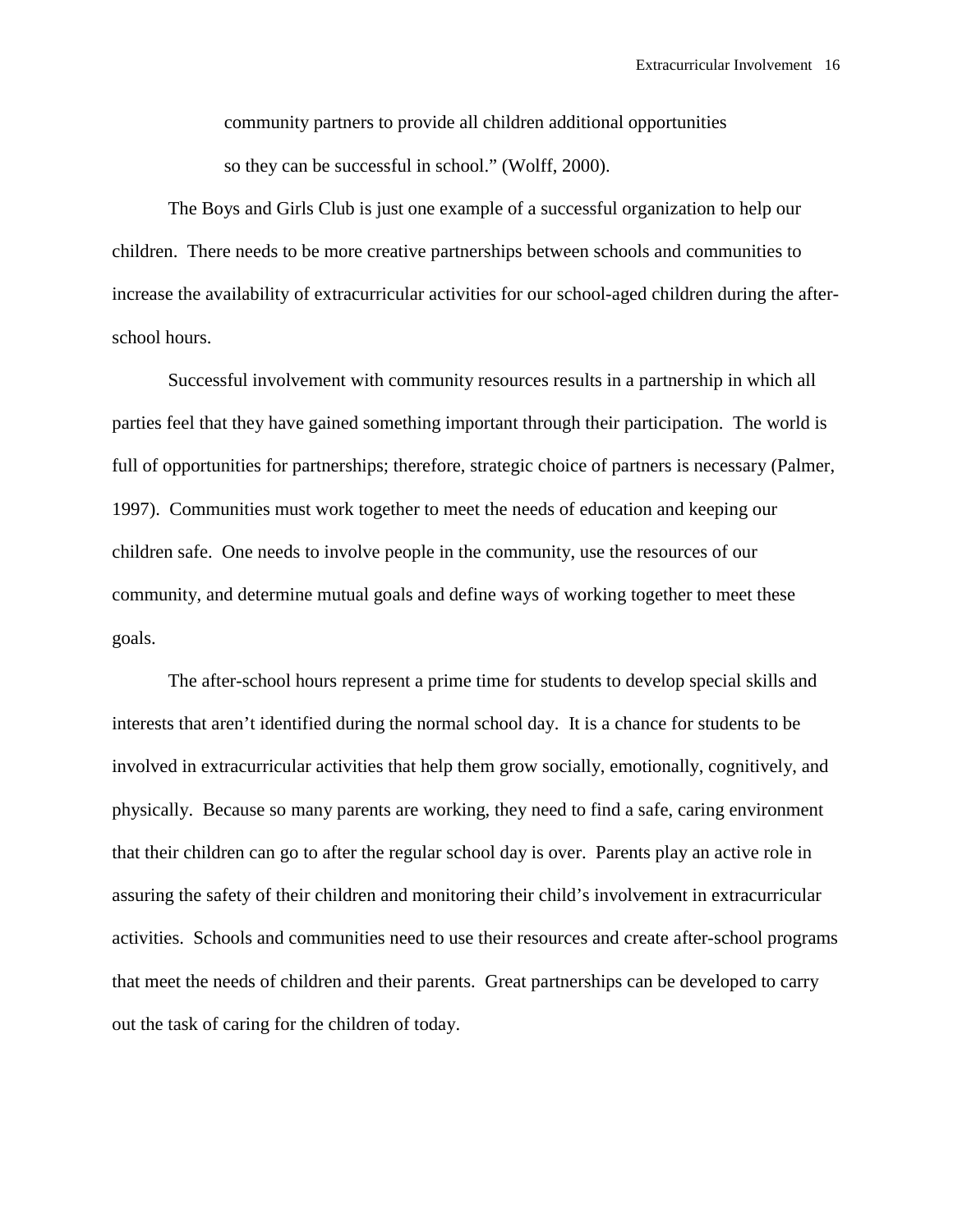community partners to provide all children additional opportunities so they can be successful in school." (Wolff, 2000).

 The Boys and Girls Club is just one example of a successful organization to help our children. There needs to be more creative partnerships between schools and communities to increase the availability of extracurricular activities for our school-aged children during the afterschool hours.

Successful involvement with community resources results in a partnership in which all parties feel that they have gained something important through their participation. The world is full of opportunities for partnerships; therefore, strategic choice of partners is necessary (Palmer, 1997). Communities must work together to meet the needs of education and keeping our children safe. One needs to involve people in the community, use the resources of our community, and determine mutual goals and define ways of working together to meet these goals.

 The after-school hours represent a prime time for students to develop special skills and interests that aren't identified during the normal school day. It is a chance for students to be involved in extracurricular activities that help them grow socially, emotionally, cognitively, and physically. Because so many parents are working, they need to find a safe, caring environment that their children can go to after the regular school day is over. Parents play an active role in assuring the safety of their children and monitoring their child's involvement in extracurricular activities. Schools and communities need to use their resources and create after-school programs that meet the needs of children and their parents. Great partnerships can be developed to carry out the task of caring for the children of today.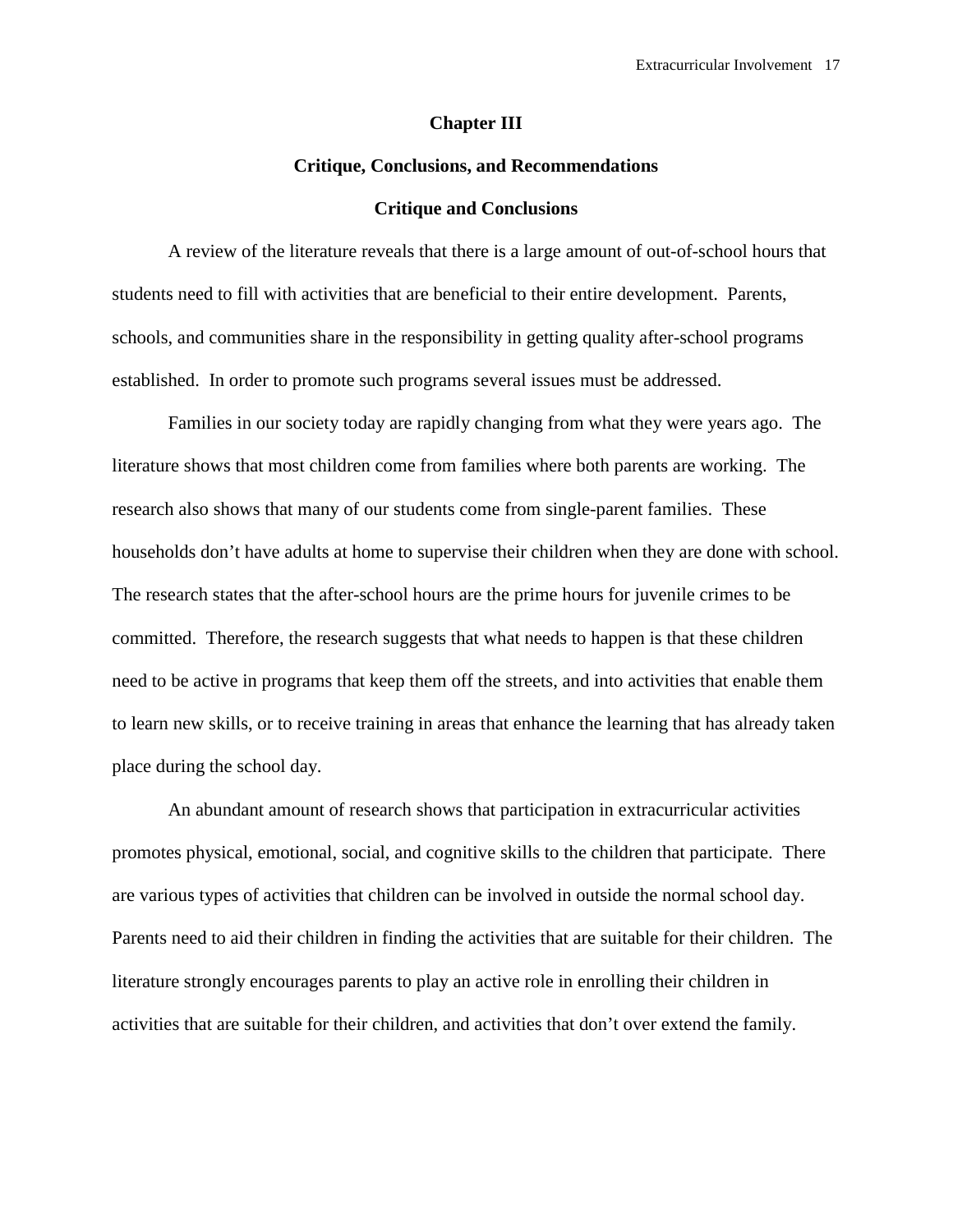# **Chapter III**

# **Critique, Conclusions, and Recommendations**

# **Critique and Conclusions**

A review of the literature reveals that there is a large amount of out-of-school hours that students need to fill with activities that are beneficial to their entire development. Parents, schools, and communities share in the responsibility in getting quality after-school programs established. In order to promote such programs several issues must be addressed.

 Families in our society today are rapidly changing from what they were years ago. The literature shows that most children come from families where both parents are working. The research also shows that many of our students come from single-parent families. These households don't have adults at home to supervise their children when they are done with school. The research states that the after-school hours are the prime hours for juvenile crimes to be committed. Therefore, the research suggests that what needs to happen is that these children need to be active in programs that keep them off the streets, and into activities that enable them to learn new skills, or to receive training in areas that enhance the learning that has already taken place during the school day.

 An abundant amount of research shows that participation in extracurricular activities promotes physical, emotional, social, and cognitive skills to the children that participate. There are various types of activities that children can be involved in outside the normal school day. Parents need to aid their children in finding the activities that are suitable for their children. The literature strongly encourages parents to play an active role in enrolling their children in activities that are suitable for their children, and activities that don't over extend the family.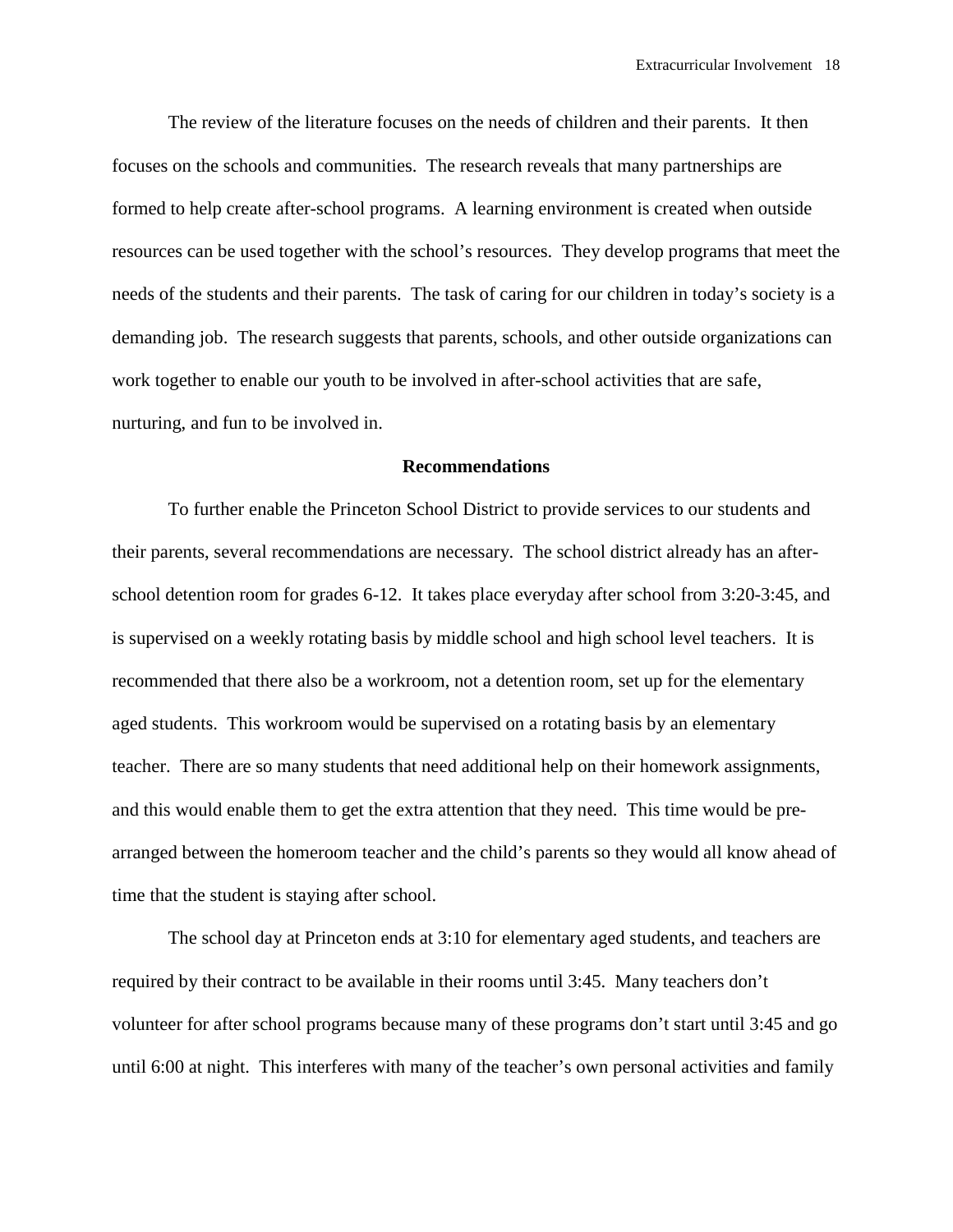The review of the literature focuses on the needs of children and their parents. It then focuses on the schools and communities. The research reveals that many partnerships are formed to help create after-school programs. A learning environment is created when outside resources can be used together with the school's resources. They develop programs that meet the needs of the students and their parents. The task of caring for our children in today's society is a demanding job. The research suggests that parents, schools, and other outside organizations can work together to enable our youth to be involved in after-school activities that are safe, nurturing, and fun to be involved in.

# **Recommendations**

To further enable the Princeton School District to provide services to our students and their parents, several recommendations are necessary. The school district already has an afterschool detention room for grades 6-12. It takes place everyday after school from 3:20-3:45, and is supervised on a weekly rotating basis by middle school and high school level teachers. It is recommended that there also be a workroom, not a detention room, set up for the elementary aged students. This workroom would be supervised on a rotating basis by an elementary teacher. There are so many students that need additional help on their homework assignments, and this would enable them to get the extra attention that they need. This time would be prearranged between the homeroom teacher and the child's parents so they would all know ahead of time that the student is staying after school.

 The school day at Princeton ends at 3:10 for elementary aged students, and teachers are required by their contract to be available in their rooms until 3:45. Many teachers don't volunteer for after school programs because many of these programs don't start until 3:45 and go until 6:00 at night. This interferes with many of the teacher's own personal activities and family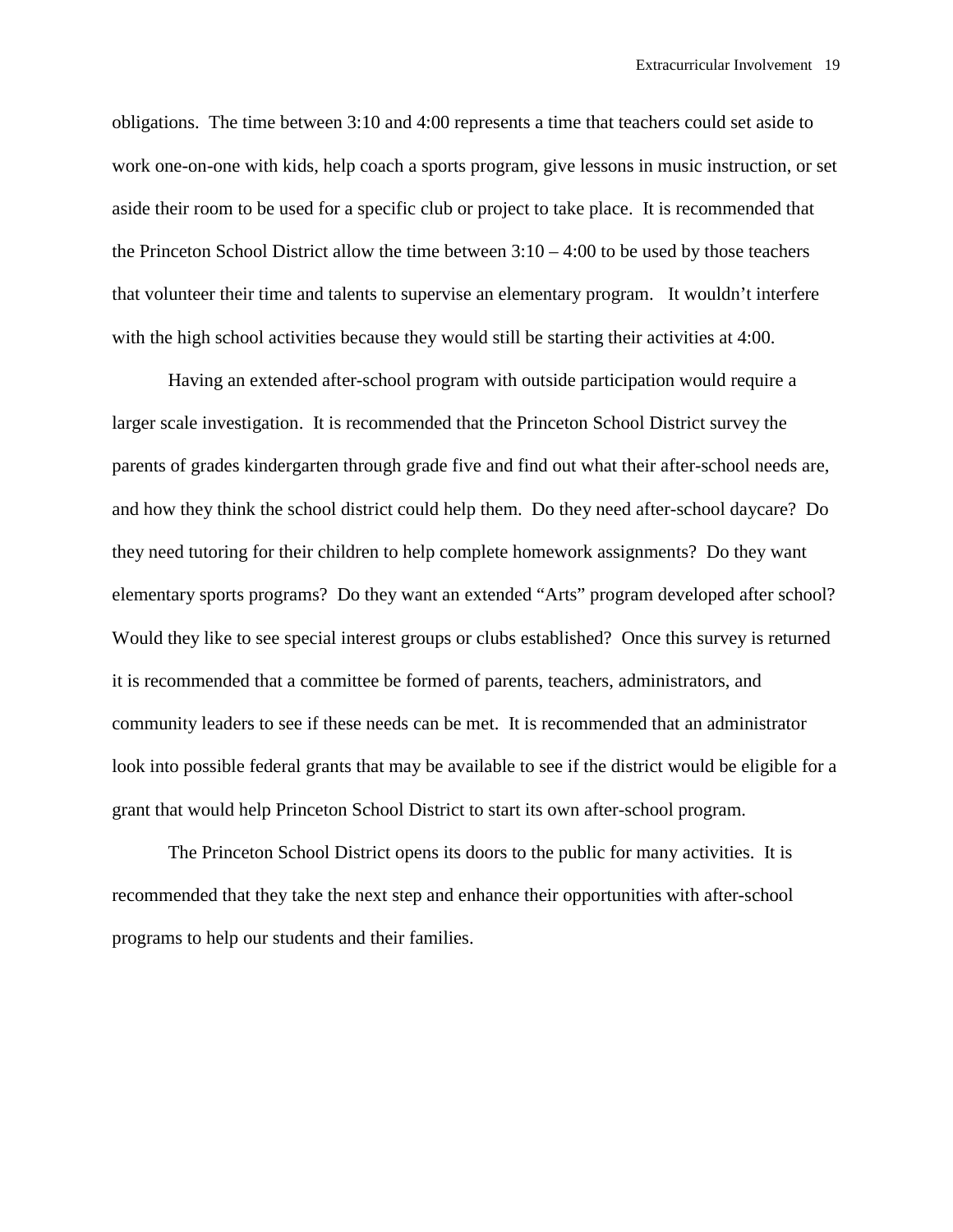obligations. The time between 3:10 and 4:00 represents a time that teachers could set aside to work one-on-one with kids, help coach a sports program, give lessons in music instruction, or set aside their room to be used for a specific club or project to take place. It is recommended that the Princeton School District allow the time between  $3:10 - 4:00$  to be used by those teachers that volunteer their time and talents to supervise an elementary program. It wouldn't interfere with the high school activities because they would still be starting their activities at 4:00.

 Having an extended after-school program with outside participation would require a larger scale investigation. It is recommended that the Princeton School District survey the parents of grades kindergarten through grade five and find out what their after-school needs are, and how they think the school district could help them. Do they need after-school daycare? Do they need tutoring for their children to help complete homework assignments? Do they want elementary sports programs? Do they want an extended "Arts" program developed after school? Would they like to see special interest groups or clubs established? Once this survey is returned it is recommended that a committee be formed of parents, teachers, administrators, and community leaders to see if these needs can be met. It is recommended that an administrator look into possible federal grants that may be available to see if the district would be eligible for a grant that would help Princeton School District to start its own after-school program.

 The Princeton School District opens its doors to the public for many activities. It is recommended that they take the next step and enhance their opportunities with after-school programs to help our students and their families.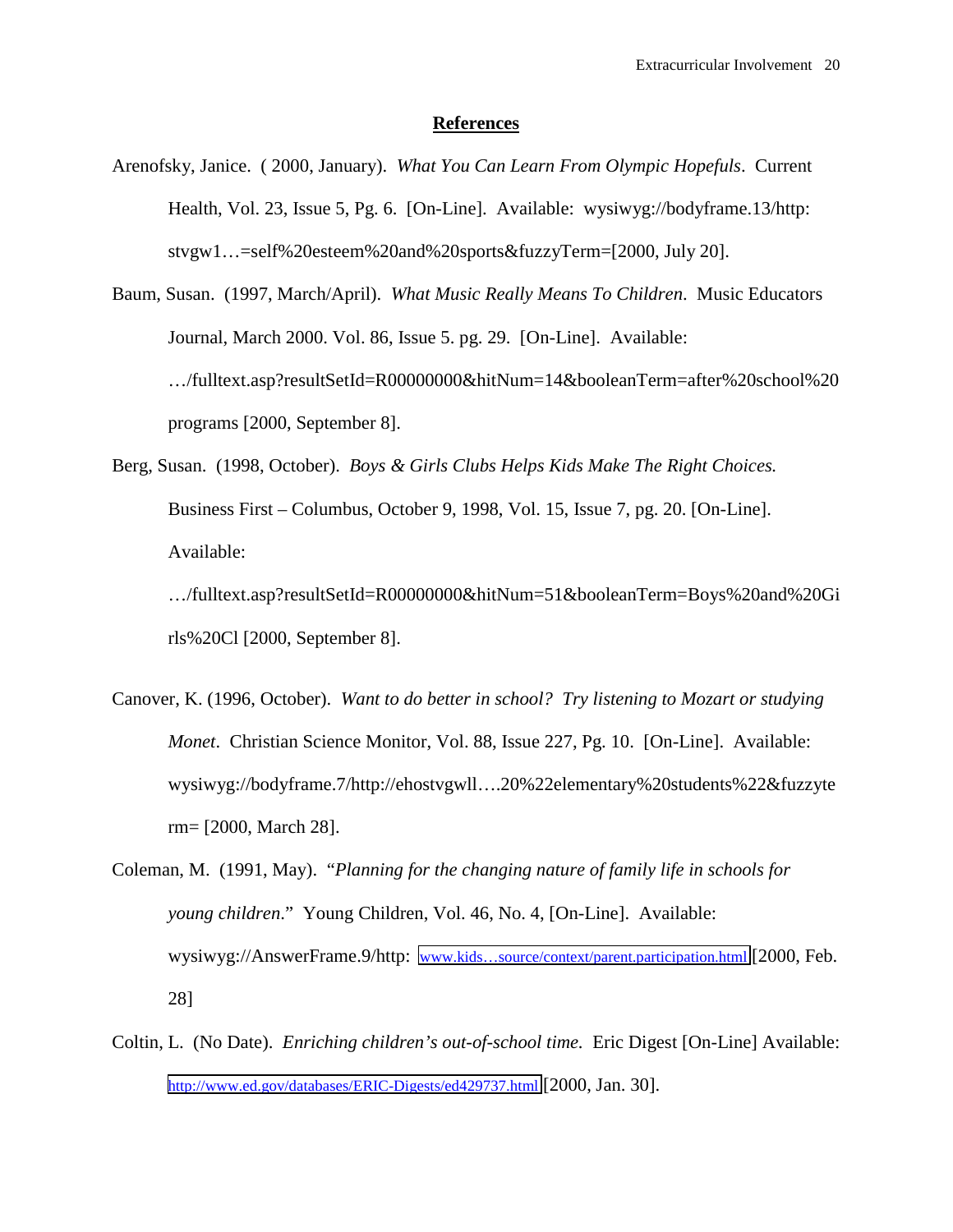# **References**

- Arenofsky, Janice. ( 2000, January). *What You Can Learn From Olympic Hopefuls*. Current Health, Vol. 23, Issue 5, Pg. 6. [On-Line]. Available: wysiwyg://bodyframe.13/http: stvgw1…=self%20esteem%20and%20sports&fuzzyTerm=[2000, July 20].
- Baum, Susan. (1997, March/April). *What Music Really Means To Children*. Music Educators Journal, March 2000. Vol. 86, Issue 5. pg. 29. [On-Line]. Available: …/fulltext.asp?resultSetId=R00000000&hitNum=14&booleanTerm=after%20school%20 programs [2000, September 8].
- Berg, Susan. (1998, October). *Boys & Girls Clubs Helps Kids Make The Right Choices.*  Business First – Columbus, October 9, 1998, Vol. 15, Issue 7, pg. 20. [On-Line]. Available:

…/fulltext.asp?resultSetId=R00000000&hitNum=51&booleanTerm=Boys%20and%20Gi rls%20Cl [2000, September 8].

- Canover, K. (1996, October). *Want to do better in school? Try listening to Mozart or studying Monet*. Christian Science Monitor, Vol. 88, Issue 227, Pg. 10. [On-Line]. Available: wysiwyg://bodyframe.7/http://ehostvgwll….20%22elementary%20students%22&fuzzyte rm= [2000, March 28].
- Coleman, M. (1991, May). "*Planning for the changing nature of family life in schools for young children*." Young Children, Vol. 46, No. 4, [On-Line]. Available: wysiwyg://AnswerFrame.9/http: [www.kids…source/context/parent.participation.html](http://www.kids�source/context/parent.participation.html) [2000, Feb. 28]
- Coltin, L. (No Date). *Enriching children's out-of-school time.* Eric Digest [On-Line] Available: <http://www.ed.gov/databases/ERIC-Digests/ed429737.html>[2000, Jan. 30].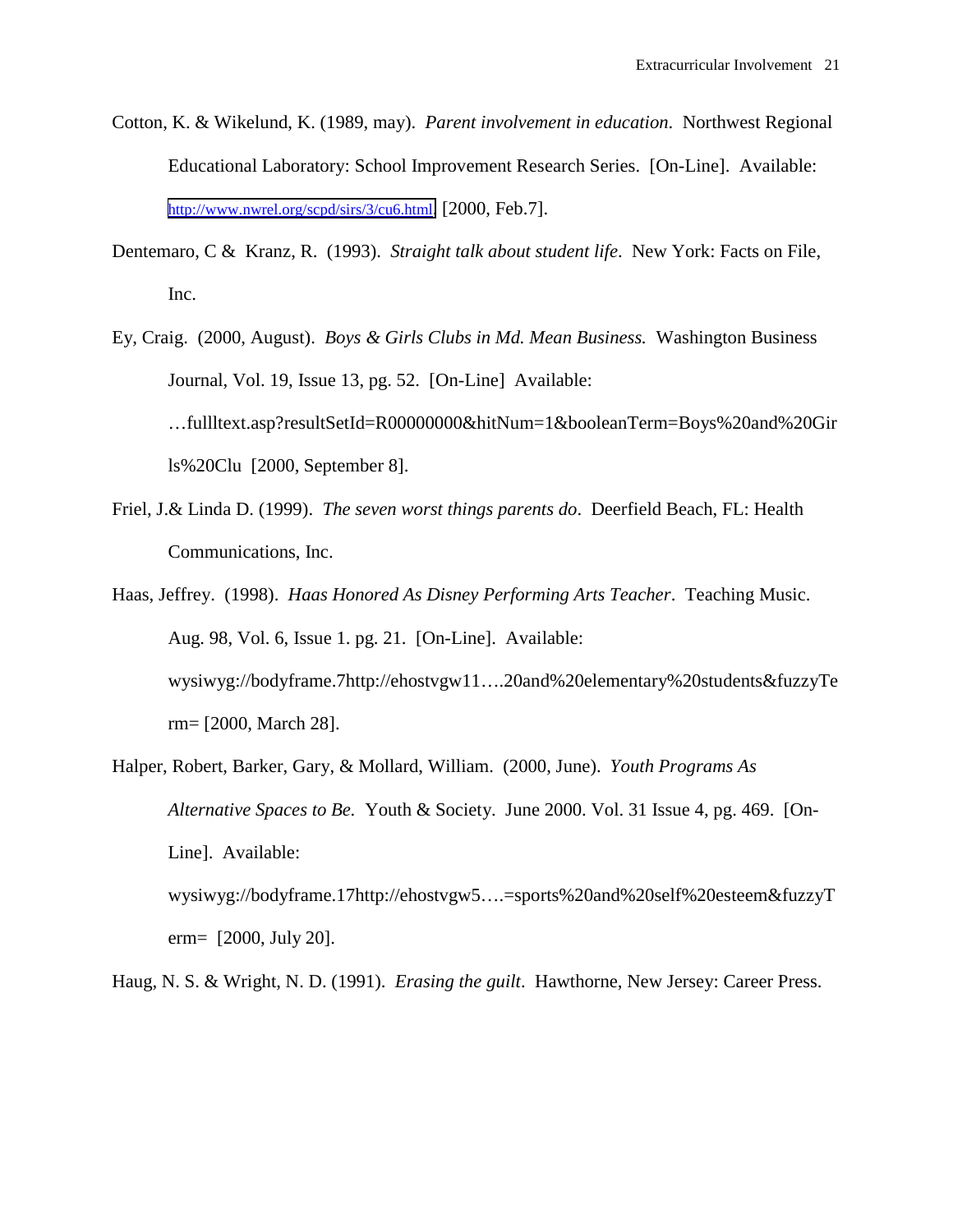- Cotton, K. & Wikelund, K. (1989, may). *Parent involvement in education*. Northwest Regional Educational Laboratory: School Improvement Research Series. [On-Line]. Available: [http://www.nwrel.org/scpd/sirs/3/cu6.html.](http://www.nwrel.org/scpd/sirs/3/cu6.html) [2000, Feb.7].
- Dentemaro, C & Kranz, R. (1993). *Straight talk about student life*. New York: Facts on File, Inc.
- Ey, Craig. (2000, August). *Boys & Girls Clubs in Md. Mean Business.* Washington Business Journal, Vol. 19, Issue 13, pg. 52. [On-Line] Available: …fullltext.asp?resultSetId=R00000000&hitNum=1&booleanTerm=Boys%20and%20Gir ls%20Clu [2000, September 8].
- Friel, J.& Linda D. (1999). *The seven worst things parents do*. Deerfield Beach, FL: Health Communications, Inc.
- Haas, Jeffrey. (1998). *Haas Honored As Disney Performing Arts Teacher*. Teaching Music. Aug. 98, Vol. 6, Issue 1. pg. 21. [On-Line]. Available: wysiwyg://bodyframe.7http://ehostvgw11….20and%20elementary%20students&fuzzyTe rm= [2000, March 28].
- Halper, Robert, Barker, Gary, & Mollard, William. (2000, June). *Youth Programs As Alternative Spaces to Be.* Youth & Society. June 2000. Vol. 31 Issue 4, pg. 469. [On-Line]. Available: wysiwyg://bodyframe.17http://ehostvgw5….=sports%20and%20self%20esteem&fuzzyT erm= [2000, July 20].
- Haug, N. S. & Wright, N. D. (1991). *Erasing the guilt*. Hawthorne, New Jersey: Career Press.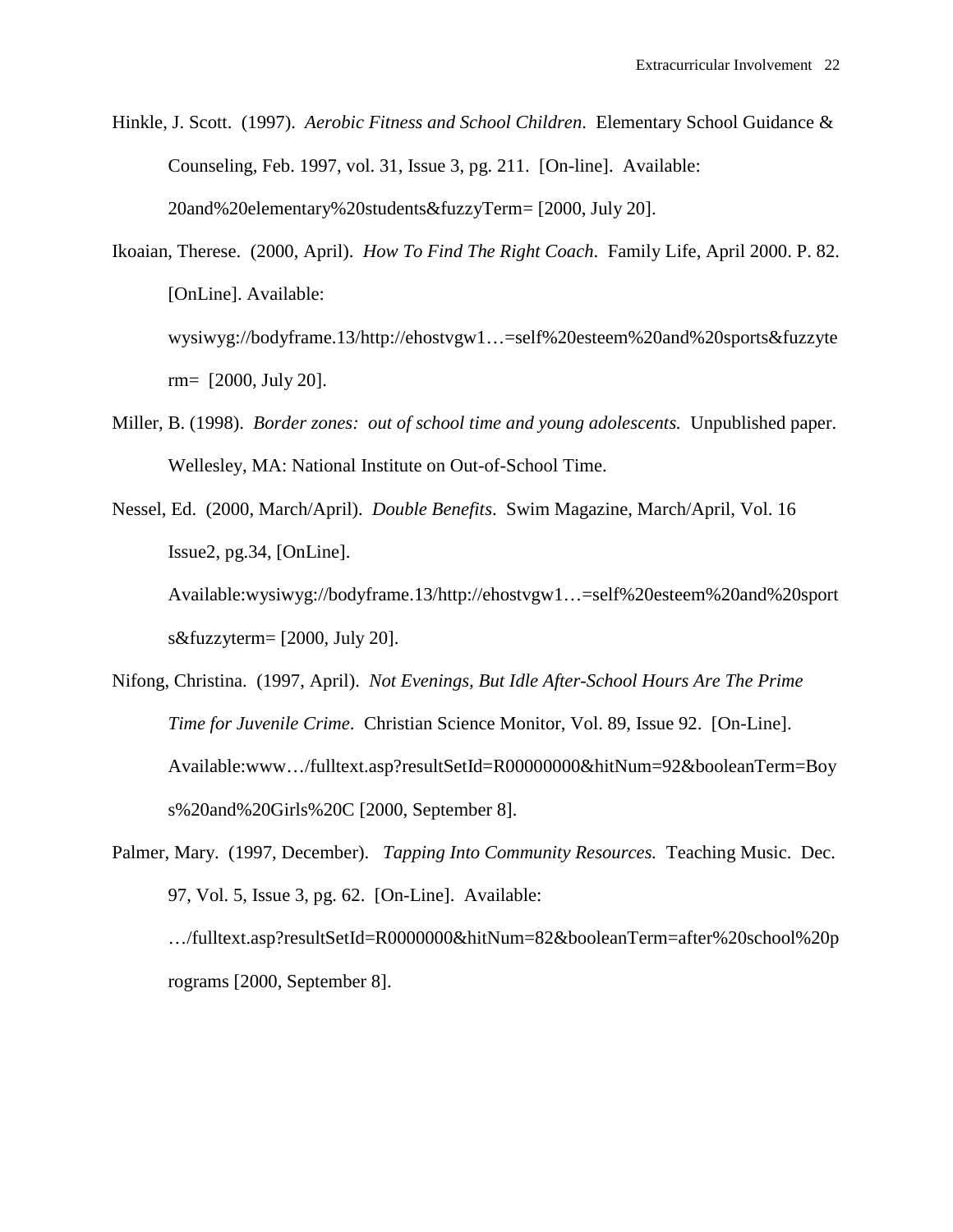- Hinkle, J. Scott. (1997). *Aerobic Fitness and School Children*. Elementary School Guidance & Counseling, Feb. 1997, vol. 31, Issue 3, pg. 211. [On-line]. Available: 20and%20elementary%20students&fuzzyTerm= [2000, July 20].
- Ikoaian, Therese. (2000, April). *How To Find The Right Coach*. Family Life, April 2000. P. 82. [OnLine]. Available: wysiwyg://bodyframe.13/http://ehostvgw1…=self%20esteem%20and%20sports&fuzzyte rm= [2000, July 20].
- Miller, B. (1998). *Border zones: out of school time and young adolescents.* Unpublished paper. Wellesley, MA: National Institute on Out-of-School Time.
- Nessel, Ed. (2000, March/April). *Double Benefits*. Swim Magazine, March/April, Vol. 16 Issue2, pg.34, [OnLine].

Available:wysiwyg://bodyframe.13/http://ehostvgw1…=self%20esteem%20and%20sport s&fuzzyterm= [2000, July 20].

- Nifong, Christina. (1997, April). *Not Evenings, But Idle After-School Hours Are The Prime Time for Juvenile Crime*. Christian Science Monitor, Vol. 89, Issue 92. [On-Line]. Available:www…/fulltext.asp?resultSetId=R00000000&hitNum=92&booleanTerm=Boy s%20and%20Girls%20C [2000, September 8].
- Palmer, Mary. (1997, December). *Tapping Into Community Resources.* Teaching Music. Dec. 97, Vol. 5, Issue 3, pg. 62. [On-Line]. Available: …/fulltext.asp?resultSetId=R0000000&hitNum=82&booleanTerm=after%20school%20p

rograms [2000, September 8].